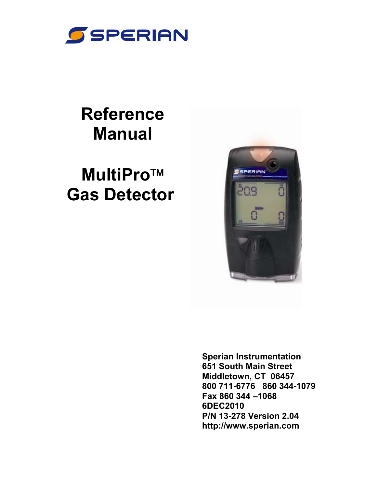

# **Reference Manual**

# **MultiPro Gas Detector**



**Sperian Instrumentation 651 South Main Street Middletown, CT 06457 800 711-6776 860 344-1079 Fax 860 344 –1068 6DEC2010 P/N 13-278 Version 2.04 http://www.sperian.com**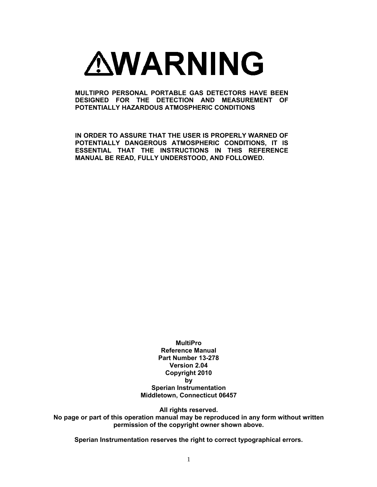

**MULTIPRO PERSONAL PORTABLE GAS DETECTORS HAVE BEEN DESIGNED FOR THE DETECTION AND MEASUREMENT OF POTENTIALLY HAZARDOUS ATMOSPHERIC CONDITIONS** 

**IN ORDER TO ASSURE THAT THE USER IS PROPERLY WARNED OF POTENTIALLY DANGEROUS ATMOSPHERIC CONDITIONS, IT IS ESSENTIAL THAT THE INSTRUCTIONS IN THIS REFERENCE MANUAL BE READ, FULLY UNDERSTOOD, AND FOLLOWED.** 

> **MultiPro Reference Manual Part Number 13-278 Version 2.04 Copyright 2010 by Sperian Instrumentation Middletown, Connecticut 06457**

> > **All rights reserved.**

**No page or part of this operation manual may be reproduced in any form without written permission of the copyright owner shown above.** 

**Sperian Instrumentation reserves the right to correct typographical errors.**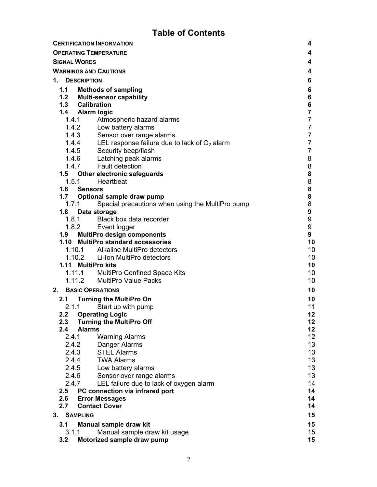# **Table of Contents**

|    |            | <b>CERTIFICATION INFORMATION</b>                          | 4                |
|----|------------|-----------------------------------------------------------|------------------|
|    |            | <b>OPERATING TEMPERATURE</b>                              | 4                |
|    |            | <b>SIGNAL WORDS</b>                                       | 4                |
|    |            | <b>WARNINGS AND CAUTIONS</b>                              | 4                |
| 1. |            | <b>DESCRIPTION</b>                                        | 6                |
|    |            | 1.1 Methods of sampling                                   | 6                |
|    |            | 1.2 Multi-sensor capability                               | 6                |
|    |            | 1.3 Calibration                                           | 6                |
|    |            | 1.4 Alarm logic                                           | $\overline{7}$   |
|    |            | Atmospheric hazard alarms<br>1.4.1                        | $\overline{7}$   |
|    |            | 1.4.2 Low battery alarms                                  | $\overline{7}$   |
|    |            | 1.4.3 Sensor over range alarms.                           | $\overline{7}$   |
|    |            | 1.4.4 LEL response failure due to lack of $O2$ alarm      | $\overline{7}$   |
|    |            | 1.4.5 Security beep/flash                                 | $\overline{7}$   |
|    |            | 1.4.6 Latching peak alarms                                | 8                |
|    |            | 1.4.7 Fault detection                                     | 8                |
|    |            | 1.5 Other electronic safeguards                           | 8                |
|    |            | 1.5.1<br>Heartbeat                                        | 8                |
|    |            | 1.6 Sensors                                               | 8                |
|    |            | 1.7 Optional sample draw pump                             | 8                |
|    |            | 1.7.1<br>Special precautions when using the MultiPro pump | 8                |
|    |            | 1.8 Data storage                                          | $\boldsymbol{9}$ |
|    |            | 1.8.1 Black box data recorder                             | 9                |
|    |            | 1.8.2 Event logger                                        | 9                |
|    |            | 1.9 MultiPro design components                            | 9                |
|    |            | 1.10 MultiPro standard accessories                        | 10               |
|    |            | 1.10.1 Alkaline MultiPro detectors                        | 10               |
|    |            | 1.10.2 Li-Ion MultiPro detectors                          | 10               |
|    |            | 1.11 MultiPro kits                                        | 10               |
|    |            | 1.11.1 MultiPro Confined Space Kits                       | 10               |
|    |            | 1.11.2 MultiPro Value Packs                               | 10               |
| 2. |            | <b>BASIC OPERATIONS</b>                                   | 10               |
|    |            | 2.1 Turning the MultiPro On                               | 10               |
|    |            | 2.1.1 Start up with pump                                  | 11               |
|    |            | 2.2 Operating Logic                                       | 12               |
|    | 2.3        | <b>Turning the MultiPro Off</b>                           | 12               |
|    | 2.4        | <b>Alarms</b>                                             | 12 <sub>2</sub>  |
|    | 2.4.1      | <b>Warning Alarms</b>                                     | 12 <sup>°</sup>  |
|    | 2.4.2      | Danger Alarms                                             | 13               |
|    | 2.4.3      | <b>STEL Alarms</b>                                        | 13               |
|    | 2.4.4      | <b>TWA Alarms</b>                                         | 13               |
|    |            | 2.4.5<br>Low battery alarms                               | 13               |
|    | 2.4.6      | Sensor over range alarms                                  | 13               |
|    | 2.4.7      | LEL failure due to lack of oxygen alarm                   | 14<br>14         |
|    | 2.5        | PC connection via infrared port                           | 14               |
|    | 2.6<br>2.7 | <b>Error Messages</b><br><b>Contact Cover</b>             | 14               |
|    |            |                                                           |                  |
|    |            | 3. SAMPLING                                               | 15               |
|    | 3.1        | Manual sample draw kit                                    | 15               |
|    | 3.1.1      | Manual sample draw kit usage                              | 15 <sub>15</sub> |
|    | 3.2        | Motorized sample draw pump                                | 15               |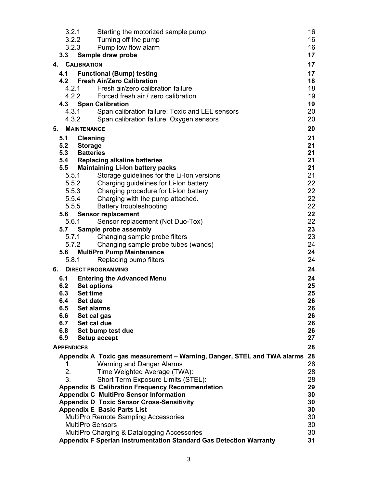| 3.2.1             |                    | Starting the motorized sample pump                                                                | 16       |
|-------------------|--------------------|---------------------------------------------------------------------------------------------------|----------|
|                   | 3.2.2              | Turning off the pump                                                                              | 16       |
|                   | 3.2.3              | Pump low flow alarm                                                                               | 16       |
| 3.3               |                    | Sample draw probe                                                                                 | 17       |
|                   | 4. CALIBRATION     |                                                                                                   | 17       |
| 4.1               |                    | <b>Functional (Bump) testing</b>                                                                  | 17       |
| 4.2               |                    | <b>Fresh Air/Zero Calibration</b>                                                                 | 18       |
|                   | 4.2.1              | Fresh air/zero calibration failure                                                                | 18       |
|                   |                    | 4.2.2 Forced fresh air / zero calibration                                                         | 19       |
|                   |                    | 4.3 Span Calibration                                                                              | 19       |
|                   |                    | 4.3.1 Span calibration failure: Toxic and LEL sensors                                             | 20       |
|                   | 4.3.2              | Span calibration failure: Oxygen sensors                                                          | 20       |
| 5.                | <b>MAINTENANCE</b> |                                                                                                   | 20       |
| 5.1               | <b>Cleaning</b>    |                                                                                                   | 21       |
| 5.2               | <b>Storage</b>     |                                                                                                   | 21       |
| 5.3               | <b>Batteries</b>   |                                                                                                   | 21       |
| 5.4               |                    | <b>Replacing alkaline batteries</b>                                                               | 21       |
| 5.5               | 5.5.1              | <b>Maintaining Li-lon battery packs</b>                                                           | 21<br>21 |
|                   |                    | Storage guidelines for the Li-Ion versions<br>Charging guidelines for Li-Ion battery              | 22       |
|                   | 5.5.2<br>5.5.3     | Charging procedure for Li-Ion battery                                                             | 22       |
|                   | 5.5.4              | Charging with the pump attached.                                                                  | 22       |
| 5.5.5             |                    | <b>Battery troubleshooting</b>                                                                    | 22       |
| 5.6               |                    | <b>Sensor replacement</b>                                                                         | 22       |
| 5.6.1             |                    | Sensor replacement (Not Duo-Tox)                                                                  | 22       |
|                   |                    | 5.7 Sample probe assembly                                                                         | 23       |
|                   | 5.7.1              | Changing sample probe filters                                                                     | 23       |
|                   | 5.7.2              | Changing sample probe tubes (wands)                                                               | 24       |
| 5.8               |                    | <b>MultiPro Pump Maintenance</b>                                                                  | 24       |
| 5.8.1             |                    | Replacing pump filters                                                                            | 24       |
| 6.                |                    | <b>DIRECT PROGRAMMING</b>                                                                         | 24       |
| 6.1               |                    | <b>Entering the Advanced Menu</b>                                                                 | 24       |
| 6.2               | <b>Set options</b> |                                                                                                   | 25       |
| 6.3               | <b>Set time</b>    |                                                                                                   | 25       |
| 6.4               | Set date           |                                                                                                   | 26       |
| 6.5               | <b>Set alarms</b>  |                                                                                                   | 26       |
| 6.6               | Set cal gas        |                                                                                                   | 26       |
| 6.7               | Set cal due        |                                                                                                   | 26       |
| 6.8               |                    | Set bump test due                                                                                 | 26       |
| 6.9               |                    | Setup accept                                                                                      | 27       |
| <b>APPENDICES</b> |                    |                                                                                                   | 28       |
|                   |                    | Appendix A Toxic gas measurement - Warning, Danger, STEL and TWA alarms                           | 28       |
| 1.                |                    | Warning and Danger Alarms                                                                         | 28       |
| 2.                |                    | Time Weighted Average (TWA):                                                                      | 28       |
| 3.                |                    | Short Term Exposure Limits (STEL):                                                                | 28       |
|                   |                    | <b>Appendix B Calibration Frequency Recommendation</b>                                            | 29<br>30 |
|                   |                    | <b>Appendix C MultiPro Sensor Information</b><br><b>Appendix D Toxic Sensor Cross-Sensitivity</b> | 30       |
|                   |                    | <b>Appendix E Basic Parts List</b>                                                                | 30       |
|                   |                    | <b>MultiPro Remote Sampling Accessories</b>                                                       | 30       |
|                   |                    | <b>MultiPro Sensors</b>                                                                           | 30       |
|                   |                    | MultiPro Charging & Datalogging Accessories                                                       | 30       |
|                   |                    | <b>Appendix F Sperian Instrumentation Standard Gas Detection Warranty</b>                         | 31       |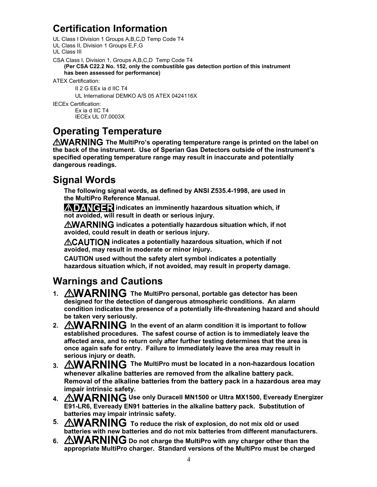# **Certification Information**

UL Class I Division 1 Groups A,B,C,D Temp Code T4 UL Class II, Division 1 Groups E,F,G UL Class III CSA Class I, Division 1, Groups A,B,C,D Temp Code T4 **(Per CSA C22.2 No. 152, only the combustible gas detection portion of this instrument has been assessed for performance)**  ATEX Certification:

II 2 G EEx ia d IIC T4

UL International DEMKO A/S 05 ATEX 0424116X

IECEx Certification: Ex ia d IIC T4 IECEx UL 07.0003X

# **Operating Temperature**

**AWARNING** The MultiPro's operating temperature range is printed on the label on **the back of the instrument. Use of Sperian Gas Detectors outside of the instrument's specified operating temperature range may result in inaccurate and potentially dangerous readings.** 

# **Signal Words**

**The following signal words, as defined by ANSI Z535.4-1998, are used in the MultiPro Reference Manual.** 

**ADANGER** indicates an imminently hazardous situation which, if **not avoided, will result in death or serious injury.**

**AWARNING** indicates a potentially hazardous situation which, if not **avoided, could result in death or serious injury.**

*ACAUTION indicates a potentially hazardous situation, which if not* **avoided, may result in moderate or minor injury.**

**CAUTION used without the safety alert symbol indicates a potentially hazardous situation which, if not avoided, may result in property damage.**

# **Warnings and Cautions**

- 1. AWARNING The MultiPro personal, portable gas detector has been **designed for the detection of dangerous atmospheric conditions. An alarm condition indicates the presence of a potentially life-threatening hazard and should be taken very seriously.**
- 2. AWARNING In the event of an alarm condition it is important to follow **established procedures. The safest course of action is to immediately leave the affected area, and to return only after further testing determines that the area is once again safe for entry. Failure to immediately leave the area may result in serious injury or death.**
- 3. *AWARNING* The MultiPro must be located in a non-hazardous location **whenever alkaline batteries are removed from the alkaline battery pack. Removal of the alkaline batteries from the battery pack in a hazardous area may impair intrinsic safety.**
- 4. AWARNING Use only Duracell MN1500 or Ultra MX1500, Eveready Energizer **E91-LR6, Eveready EN91 batteries in the alkaline battery pack. Substitution of batteries may impair intrinsic safety.**
- 5. AWARNING To reduce the risk of explosion, do not mix old or used **batteries with new batteries and do not mix batteries from different manufacturers.**
- 6. *AWARNING* Do not charge the MultiPro with any charger other than the **appropriate MultiPro charger. Standard versions of the MultiPro must be charged**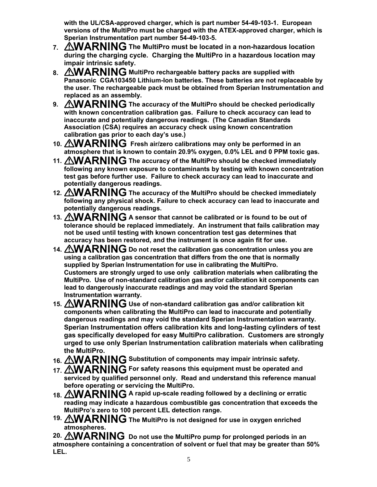**with the UL/CSA-approved charger, which is part number 54-49-103-1. European versions of the MultiPro must be charged with the ATEX-approved charger, which is Sperian Instrumentation part number 54-49-103-5.** 

- 7. *AWARNING* The MultiPro must be located in a non-hazardous location **during the charging cycle. Charging the MultiPro in a hazardous location may impair intrinsic safety.**
- 8. AWARNING MultiPro rechargeable battery packs are supplied with **Panasonic CGA103450 Lithium-Ion batteries. These batteries are not replaceable by the user. The rechargeable pack must be obtained from Sperian Instrumentation and replaced as an assembly.**
- 9. AWARNING The accuracy of the MultiPro should be checked periodically **with known concentration calibration gas. Failure to check accuracy can lead to inaccurate and potentially dangerous readings. (The Canadian Standards Association (CSA) requires an accuracy check using known concentration calibration gas prior to each day's use.)**
- 10. AWARNING Fresh air/zero calibrations may only be performed in an **atmosphere that is known to contain 20.9% oxygen, 0.0% LEL and 0 PPM toxic gas.**
- 11. AWARNING The accuracy of the MultiPro should be checked immediately **following any known exposure to contaminants by testing with known concentration test gas before further use. Failure to check accuracy can lead to inaccurate and potentially dangerous readings.**
- 12. *AWARNING* The accuracy of the MultiPro should be checked immediately **following any physical shock. Failure to check accuracy can lead to inaccurate and potentially dangerous readings.**
- 13. **AWARNING** A sensor that cannot be calibrated or is found to be out of **tolerance should be replaced immediately. An instrument that fails calibration may not be used until testing with known concentration test gas determines that accuracy has been restored, and the instrument is once again fit for use.**
- 14. *AWARNING* Do not reset the calibration gas concentration unless you are **using a calibration gas concentration that differs from the one that is normally supplied by Sperian Instrumentation for use in calibrating the MultiPro. Customers are strongly urged to use only calibration materials when calibrating the MultiPro. Use of non-standard calibration gas and/or calibration kit components can lead to dangerously inaccurate readings and may void the standard Sperian Instrumentation warranty.**
- 15. *AWARNING* Use of non-standard calibration gas and/or calibration kit **components when calibrating the MultiPro can lead to inaccurate and potentially dangerous readings and may void the standard Sperian Instrumentation warranty. Sperian Instrumentation offers calibration kits and long-lasting cylinders of test gas specifically developed for easy MultiPro calibration. Customers are strongly urged to use only Sperian Instrumentation calibration materials when calibrating the MultiPro.**
- 16. *AWARNING* Substitution of components may impair intrinsic safety.
- 17. AWARNING For safety reasons this equipment must be operated and **serviced by qualified personnel only. Read and understand this reference manual before operating or servicing the MultiPro.**
- 18. **AWARNING** A rapid up-scale reading followed by a declining or erratic **reading may indicate a hazardous combustible gas concentration that exceeds the MultiPro's zero to 100 percent LEL detection range.**
- 19. AWARNING The MultiPro is not designed for use in oxygen enriched **atmospheres.**

20. AWARNING Do not use the MultiPro pump for prolonged periods in an **atmosphere containing a concentration of solvent or fuel that may be greater than 50% LEL.**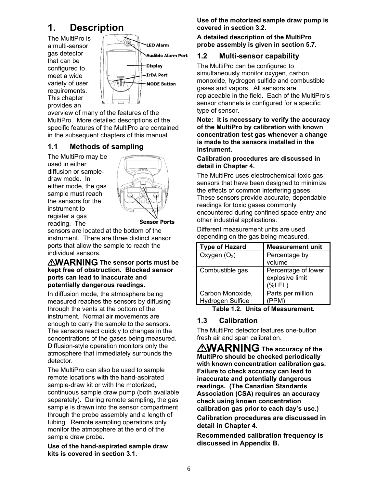# **1. Description**

The MultiPro is a multi-sensor gas detector that can be configured to meet a wide variety of user requirements. This chapter provides an



overview of many of the features of the MultiPro. More detailed descriptions of the specific features of the MultiPro are contained in the subsequent chapters of this manual.

# **1.1 Methods of sampling**

The MultiPro may be used in either diffusion or sampledraw mode. In either mode, the gas sample must reach the sensors for the instrument to register a gas reading. The



**Sensor Ports** 

sensors are located at the bottom of the instrument. There are three distinct sensor ports that allow the sample to reach the individual sensors.

#### **AWARNING The sensor ports must be kept free of obstruction. Blocked sensor ports can lead to inaccurate and potentially dangerous readings.**

In diffusion mode, the atmosphere being measured reaches the sensors by diffusing through the vents at the bottom of the instrument. Normal air movements are enough to carry the sample to the sensors. The sensors react quickly to changes in the concentrations of the gases being measured. Diffusion-style operation monitors only the atmosphere that immediately surrounds the detector.

The MultiPro can also be used to sample remote locations with the hand-aspirated sample-draw kit or with the motorized, continuous sample draw pump (both available separately). During remote sampling, the gas sample is drawn into the sensor compartment through the probe assembly and a length of tubing. Remote sampling operations only monitor the atmosphere at the end of the sample draw probe.

**Use of the hand-aspirated sample draw kits is covered in section 3.1.** 

**Use of the motorized sample draw pump is covered in section 3.2.** 

#### **A detailed description of the MultiPro probe assembly is given in section 5.7.**

# **1.2 Multi-sensor capability**

The MultiPro can be configured to simultaneously monitor oxygen, carbon monoxide, hydrogen sulfide and combustible gases and vapors. All sensors are replaceable in the field. Each of the MultiPro's sensor channels is configured for a specific type of sensor.

**Note: It is necessary to verify the accuracy of the MultiPro by calibration with known concentration test gas whenever a change is made to the sensors installed in the instrument.** 

#### **Calibration procedures are discussed in detail in Chapter 4.**

The MultiPro uses electrochemical toxic gas sensors that have been designed to minimize the effects of common interfering gases. These sensors provide accurate, dependable readings for toxic gases commonly encountered during confined space entry and other industrial applications.

Different measurement units are used depending on the gas being measured.

| <b>Type of Hazard</b>                | <b>Measurement unit</b>                      |
|--------------------------------------|----------------------------------------------|
| Oxygen $(O_2)$                       | Percentage by                                |
|                                      | volume                                       |
| Combustible gas                      | Percentage of lower<br>explosive limit<br>(% |
| Carbon Monoxide,<br>Hydrogen Sulfide | Parts per million                            |

**Table 1.2. Units of Measurement.** 

# **1.3 Calibration**

The MultiPro detector features one-button fresh air and span calibration.

*AWARNING* The accuracy of the **MultiPro should be checked periodically with known concentration calibration gas. Failure to check accuracy can lead to inaccurate and potentially dangerous readings. (The Canadian Standards Association (CSA) requires an accuracy check using known concentration calibration gas prior to each day's use.)** 

**Calibration procedures are discussed in detail in Chapter 4.** 

**Recommended calibration frequency is discussed in Appendix B.**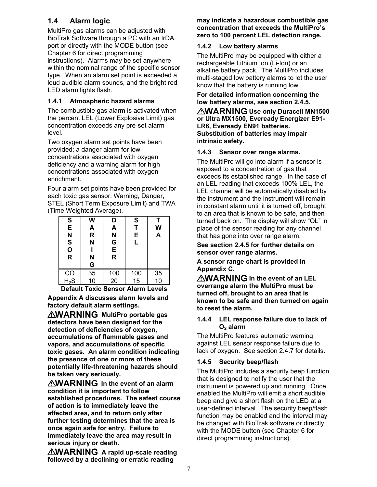# **1.4 Alarm logic**

MultiPro gas alarms can be adjusted with BioTrak Software through a PC with an IrDA port or directly with the MODE button (see Chapter 6 for direct programming instructions). Alarms may be set anywhere within the nominal range of the specific sensor type. When an alarm set point is exceeded a loud audible alarm sounds, and the bright red LED alarm lights flash.

#### **1.4.1 Atmospheric hazard alarms**

The combustible gas alarm is activated when the percent LEL (Lower Explosive Limit) gas concentration exceeds any pre-set alarm level.

Two oxygen alarm set points have been provided; a danger alarm for low concentrations associated with oxygen deficiency and a warning alarm for high concentrations associated with oxygen enrichment.

Four alarm set points have been provided for each toxic gas sensor: Warning, Danger, STEL (Short Term Exposure Limit) and TWA (Time Weighted Average).

| S<br>E<br>N<br>S<br>O<br>R | W<br>A<br>$\overline{\mathsf{R}}$<br>N<br>N<br>G | D<br>A<br>N<br>G<br>E<br>R | S<br>T<br>E<br>L | T<br>W<br>A |
|----------------------------|--------------------------------------------------|----------------------------|------------------|-------------|
| CO                         | 35                                               | 100                        | 100              | 35          |
| $H_2S$                     | 10                                               | 20                         | 15               | 10          |

**Default Toxic Sensor Alarm Levels** 

**Appendix A discusses alarm levels and factory default alarm settings.** 

*AWARNING* MultiPro portable gas **detectors have been designed for the detection of deficiencies of oxygen, accumulations of flammable gases and vapors, and accumulations of specific toxic gases. An alarm condition indicating the presence of one or more of these potentially life-threatening hazards should be taken very seriously.** 

**AWARNING** In the event of an alarm **condition it is important to follow established procedures. The safest course of action is to immediately leave the affected area, and to return only after further testing determines that the area is once again safe for entry. Failure to immediately leave the area may result in serious injury or death.** 

**AWARNING** A rapid up-scale reading **followed by a declining or erratic reading** 

#### **may indicate a hazardous combustible gas concentration that exceeds the MultiPro's zero to 100 percent LEL detection range.**

#### **1.4.2 Low battery alarms**

The MultiPro may be equipped with either a rechargeable Lithium Ion (Li-Ion) or an alkaline battery pack. The MultiPro includes multi-staged low battery alarms to let the user know that the battery is running low.

**For detailed information concerning the low battery alarms, see section 2.4.5.** 

**AWARNING Use only Duracell MN1500 or Ultra MX1500, Eveready Energizer E91- LR6, Eveready EN91 batteries. Substitution of batteries may impair intrinsic safety.**

#### **1.4.3 Sensor over range alarms.**

The MultiPro will go into alarm if a sensor is exposed to a concentration of gas that exceeds its established range. In the case of an LEL reading that exceeds 100% LEL, the LEL channel will be automatically disabled by the instrument and the instrument will remain in constant alarm until it is turned off, brought to an area that is known to be safe, and then turned back on. The display will show "OL" in place of the sensor reading for any channel that has gone into over range alarm.

#### **See section 2.4.5 for further details on sensor over range alarms.**

**A sensor range chart is provided in Appendix C.**

**AWARNING** In the event of an LEL **overrange alarm the MultiPro must be turned off, brought to an area that is known to be safe and then turned on again to reset the alarm.**

#### **1.4.4 LEL response failure due to lack of O2 alarm**

The MultiPro features automatic warning against LEL sensor response failure due to lack of oxygen. See section 2.4.7 for details.

#### **1.4.5 Security beep/flash**

The MultiPro includes a security beep function that is designed to notify the user that the instrument is powered up and running. Once enabled the MultiPro will emit a short audible beep and give a short flash on the LED at a user-defined interval. The security beep/flash function may be enabled and the interval may be changed with BioTrak software or directly with the MODE button (see Chapter 6 for direct programming instructions).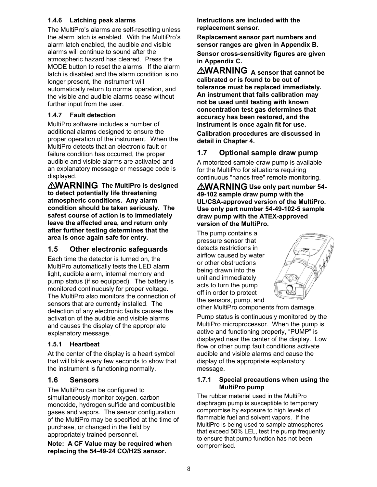#### **1.4.6 Latching peak alarms**

The MultiPro's alarms are self-resetting unless the alarm latch is enabled. With the MultiPro's alarm latch enabled, the audible and visible alarms will continue to sound after the atmospheric hazard has cleared. Press the MODE button to reset the alarms. If the alarm latch is disabled and the alarm condition is no longer present, the instrument will automatically return to normal operation, and the visible and audible alarms cease without further input from the user.

#### **1.4.7 Fault detection**

MultiPro software includes a number of additional alarms designed to ensure the proper operation of the instrument. When the MultiPro detects that an electronic fault or failure condition has occurred, the proper audible and visible alarms are activated and an explanatory message or message code is displayed.

**AWARNING** The MultiPro is designed **to detect potentially life threatening atmospheric conditions. Any alarm condition should be taken seriously. The safest course of action is to immediately leave the affected area, and return only after further testing determines that the area is once again safe for entry.**

#### **1.5 Other electronic safeguards**

Each time the detector is turned on, the MultiPro automatically tests the LED alarm light, audible alarm, internal memory and pump status (if so equipped). The battery is monitored continuously for proper voltage. The MultiPro also monitors the connection of sensors that are currently installed. The detection of any electronic faults causes the activation of the audible and visible alarms and causes the display of the appropriate explanatory message.

#### **1.5.1 Heartbeat**

At the center of the display is a heart symbol that will blink every few seconds to show that the instrument is functioning normally.

#### **1.6 Sensors**

The MultiPro can be configured to simultaneously monitor oxygen, carbon monoxide, hydrogen sulfide and combustible gases and vapors. The sensor configuration of the MultiPro may be specified at the time of purchase, or changed in the field by appropriately trained personnel.

**Note: A CF Value may be required when replacing the 54-49-24 CO/H2S sensor.** 

**Instructions are included with the replacement sensor.** 

**Replacement sensor part numbers and sensor ranges are given in Appendix B.** 

**Sensor cross-sensitivity figures are given in Appendix C.**

**AWARNING** A sensor that cannot be **calibrated or is found to be out of tolerance must be replaced immediately. An instrument that fails calibration may not be used until testing with known concentration test gas determines that accuracy has been restored, and the instrument is once again fit for use.** 

**Calibration procedures are discussed in detail in Chapter 4.** 

### **1.7 Optional sample draw pump**

A motorized sample-draw pump is available for the MultiPro for situations requiring continuous "hands free" remote monitoring.

**AWARNING** Use only part number 54-**49-102 sample draw pump with the UL/CSA-approved version of the MultiPro. Use only part number 54-49-102-5 sample draw pump with the ATEX-approved version of the MultiPro.**

The pump contains a pressure sensor that detects restrictions in airflow caused by water or other obstructions being drawn into the unit and immediately acts to turn the pump off in order to protect the sensors, pump, and



other MultiPro components from damage.

Pump status is continuously monitored by the MultiPro microprocessor. When the pump is active and functioning properly, "PUMP" is displayed near the center of the display. Low flow or other pump fault conditions activate audible and visible alarms and cause the display of the appropriate explanatory message.

#### **1.7.1 Special precautions when using the MultiPro pump**

The rubber material used in the MultiPro diaphragm pump is susceptible to temporary compromise by exposure to high levels of flammable fuel and solvent vapors. If the MultiPro is being used to sample atmospheres that exceed 50% LEL, test the pump frequently to ensure that pump function has not been compromised.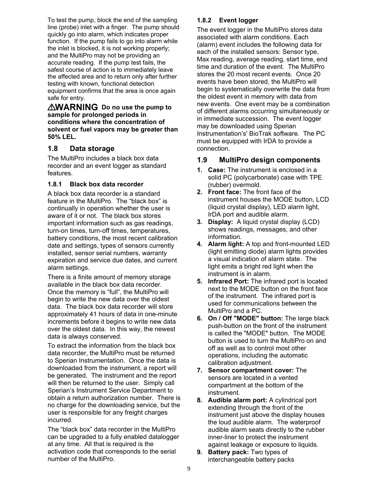To test the pump, block the end of the sampling line (probe) inlet with a finger. The pump should quickly go into alarm, which indicates proper function. If the pump fails to go into alarm while the inlet is blocked, it is not working properly; and the MultiPro may not be providing an accurate reading. If the pump test fails, the safest course of action is to immediately leave the affected area and to return only after further testing with known, functional detection equipment confirms that the area is once again safe for entry.

*AWARNING* Do no use the pump to **sample for prolonged periods in conditions where the concentration of solvent or fuel vapors may be greater than 50% LEL.** 

#### **1.8 Data storage**

The MultiPro includes a black box data recorder and an event logger as standard features.

#### **1.8.1 Black box data recorder**

A black box data recorder is a standard feature in the MultiPro. The "black box" is continually in operation whether the user is aware of it or not. The black box stores important information such as gas readings, turn-on times, turn-off times, temperatures, battery conditions, the most recent calibration date and settings, types of sensors currently installed, sensor serial numbers, warranty expiration and service due dates, and current alarm settings.

There is a finite amount of memory storage available in the black box data recorder. Once the memory is "full", the MultiPro will begin to write the new data over the oldest data. The black box data recorder will store approximately 41 hours of data in one-minute increments before it begins to write new data over the oldest data. In this way, the newest data is always conserved.

To extract the information from the black box data recorder, the MultiPro must be returned to Sperian Instrumentation. Once the data is downloaded from the instrument, a report will be generated. The instrument and the report will then be returned to the user. Simply call Sperian's Instrument Service Department to obtain a return authorization number. There is no charge for the downloading service, but the user is responsible for any freight charges incurred.

The "black box" data recorder in the MultiPro can be upgraded to a fully enabled datalogger at any time. All that is required is the activation code that corresponds to the serial number of the MultiPro.

#### **1.8.2 Event logger**

The event logger in the MultiPro stores data associated with alarm conditions. Each (alarm) event includes the following data for each of the installed sensors: Sensor type, Max reading, average reading, start time, end time and duration of the event. The MultiPro stores the 20 most recent events. Once 20 events have been stored, the MultiPro will begin to systematically overwrite the data from the oldest event in memory with data from new events. One event may be a combination of different alarms occurring simultaneously or in immediate succession. The event logger may be downloaded using Sperian Instrumentation's' BioTrak software. The PC must be equipped with IrDA to provide a connection.

#### **1.9 MultiPro design components**

- **1. Case:** The instrument is enclosed in a solid PC (polycarbonate) case with TPE (rubber) overmold.
- **2. Front face:** The front face of the instrument houses the MODE button, LCD (liquid crystal display), LED alarm light, IrDA port and audible alarm.
- **3. Display:** A liquid crystal display (LCD) shows readings, messages, and other information.
- **4. Alarm light:** A top and front-mounted LED (light emitting diode) alarm lights provides a visual indication of alarm state. The light emits a bright red light when the instrument is in alarm.
- **5. Infrared Port:** The infrared port is located next to the MODE button on the front face of the instrument. The infrared port is used for communications between the MultiPro and a PC.
- **6. On / Off "MODE" button:** The large black push-button on the front of the instrument is called the "MODE" button. The MODE button is used to turn the MultiPro on and off as well as to control most other operations, including the automatic calibration adjustment.
- **7. Sensor compartment cover:** The sensors are located in a vented compartment at the bottom of the instrument.
- **8. Audible alarm port:** A cylindrical port extending through the front of the instrument just above the display houses the loud audible alarm. The waterproof audible alarm seats directly to the rubber inner-liner to protect the instrument against leakage or exposure to liquids.
- **9. Battery pack:** Two types of interchangeable battery packs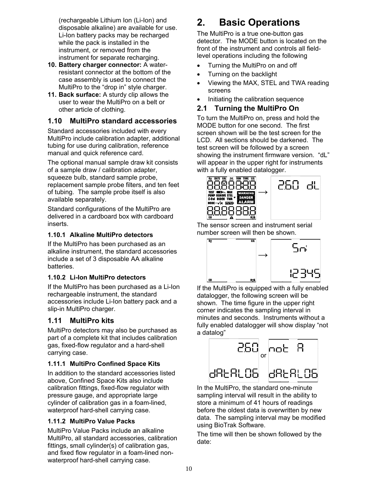(rechargeable Lithium Ion (Li-Ion) and disposable alkaline) are available for use. Li-Ion battery packs may be recharged while the pack is installed in the instrument, or removed from the instrument for separate recharging.

- **10. Battery charger connector:** A waterresistant connector at the bottom of the case assembly is used to connect the MultiPro to the "drop in" style charger.
- **11. Back surface:** A sturdy clip allows the user to wear the MultiPro on a belt or other article of clothing.

### **1.10 MultiPro standard accessories**

Standard accessories included with every MultiPro include calibration adapter, additional tubing for use during calibration, reference manual and quick reference card.

The optional manual sample draw kit consists of a sample draw / calibration adapter, squeeze bulb, standard sample probe, replacement sample probe filters, and ten feet of tubing. The sample probe itself is also available separately.

Standard configurations of the MultiPro are delivered in a cardboard box with cardboard inserts.

#### **1.10.1 Alkaline MultiPro detectors**

If the MultiPro has been purchased as an alkaline instrument, the standard accessories include a set of 3 disposable AA alkaline batteries.

#### **1.10.2 Li-Ion MultiPro detectors**

If the MultiPro has been purchased as a Li-Ion rechargeable instrument, the standard accessories include Li-Ion battery pack and a slip-in MultiPro charger.

# **1.11 MultiPro kits**

MultiPro detectors may also be purchased as part of a complete kit that includes calibration gas, fixed-flow regulator and a hard-shell carrying case.

#### **1.11.1 MultiPro Confined Space Kits**

In addition to the standard accessories listed above, Confined Space Kits also include calibration fittings, fixed-flow regulator with pressure gauge, and appropriate large cylinder of calibration gas in a foam-lined, waterproof hard-shell carrying case.

#### **1.11.2 MultiPro Value Packs**

MultiPro Value Packs include an alkaline MultiPro, all standard accessories, calibration fittings, small cylinder(s) of calibration gas, and fixed flow regulator in a foam-lined nonwaterproof hard-shell carrying case.

# **2. Basic Operations**

The MultiPro is a true one-button gas detector. The MODE button is located on the front of the instrument and controls all fieldlevel operations including the following

- Turning the MultiPro on and off
- Turning on the backlight
- Viewing the MAX, STEL and TWA reading screens
- Initiating the calibration sequence

#### **2.1 Turning the MultiPro On**

To turn the MultiPro on, press and hold the MODE button for one second. The first screen shown will be the test screen for the LCD. All sections should be darkened. The test screen will be followed by a screen showing the instrument firmware version. "dL" will appear in the upper right for instruments with a fully enabled datalogger.



The sensor screen and instrument serial number screen will then be shown.



If the MultiPro is equipped with a fully enabled datalogger, the following screen will be shown. The time figure in the upper right corner indicates the sampling interval in minutes and seconds. Instruments without a fully enabled datalogger will show display "not a datalog"



In the MultiPro, the standard one-minute sampling interval will result in the ability to store a minimum of 41 hours of readings before the oldest data is overwritten by new data. The sampling interval may be modified using BioTrak Software.

The time will then be shown followed by the date: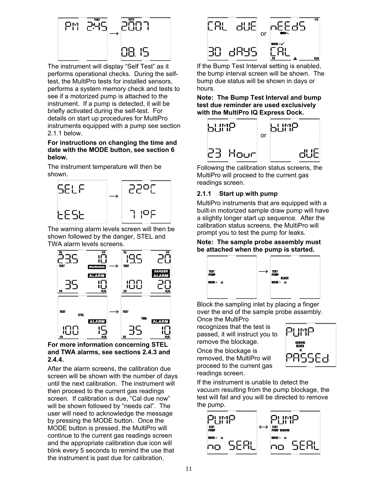

The instrument will display "Self Test" as it performs operational checks. During the selftest, the MultiPro tests for installed sensors, performs a system memory check and tests to see if a motorized pump is attached to the instrument. If a pump is detected, it will be briefly activated during the self-test. For details on start up procedures for MultiPro instruments equipped with a pump see section 2.1.1 below.

#### **For instructions on changing the time and date with the MODE button, see section 6 below.**

The instrument temperature will then be shown.



The warning alarm levels screen will then be shown followed by the danger, STEL and TWA alarm levels screens.



#### **For more information concerning STEL and TWA alarms, see sections 2.4.3 and 2.4.4.**

After the alarm screens, the calibration due screen will be shown with the number of days until the next calibration. The instrument will then proceed to the current gas readings screen. If calibration is due, "Cal due now" will be shown followed by "needs cal". The user will need to acknowledge the message by pressing the MODE button. Once the MODE button is pressed, the MultiPro will continue to the current gas readings screen and the appropriate calibration due icon will blink every 5 seconds to remind the use that the instrument is past due for calibration.



If the Bump Test Interval setting is enabled, the bump interval screen will be shown. The bump due status will be shown in days or hours.

**Note: The Bump Test Interval and bump test due reminder are used exclusively with the MultiPro IQ Express Dock.** 



Following the calibration status screens, the MultiPro will proceed to the current gas readings screen.

#### **2.1.1 Start up with pump**

MultiPro instruments that are equipped with a built-in motorized sample draw pump will have a slightly longer start up sequence. After the calibration status screens, the MultiPro will prompt you to test the pump for leaks.

#### **Note: The sample probe assembly must be attached when the pump is started.**



Block the sampling inlet by placing a finger over the end of the sample probe assembly. Once the MultiPro

recognizes that the test is passed, it will instruct you to remove the blockage.

Once the blockage is removed, the MultiPro will proceed to the current gas readings screen.



If the instrument is unable to detect the vacuum resulting from the pump blockage, the test will fail and you will be directed to remove the pump.

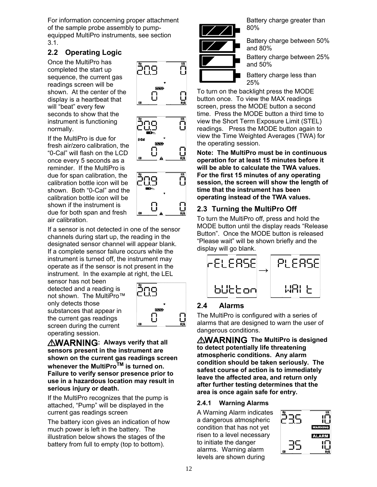For information concerning proper attachment of the sample probe assembly to pumpequipped MultiPro instruments, see section 3.1.

# **2.2 Operating Logic**

Once the MultiPro has completed the start up sequence, the current gas readings screen will be shown. At the center of the display is a heartbeat that will "beat" every few seconds to show that the instrument is functioning normally.

If the MultiPro is due for fresh air/zero calibration, the "0-Cal" will flash on the LCD once every 5 seconds as a reminder. If the MultiPro is due for span calibration, the calibration bottle icon will be shown. Both "0-Cal" and the calibration bottle icon will be shown if the instrument is due for both span and fresh air calibration.

If a sensor is not detected in one of the sensor channels during start up, the reading in the designated sensor channel will appear blank. If a complete sensor failure occurs while the instrument is turned off, the instrument may operate as if the sensor is not present in the instrument. In the example at right, the LEL

sensor has not been detected and a reading is not shown. The MultiPro™ only detects those substances that appear in the current gas readings screen during the current operating session.



**AWARNING: Always verify that all sensors present in the instrument are shown on the current gas readings screen whenever the MultiProTM is turned on. Failure to verify sensor presence prior to use in a hazardous location may result in serious injury or death.** 

If the MultiPro recognizes that the pump is attached, "Pump" will be displayed in the current gas readings screen

The battery icon gives an indication of how much power is left in the battery. The illustration below shows the stages of the battery from full to empty (top to bottom).









Battery charge greater than 80%

Battery charge between 50% and 80%

Battery charge between 25% and 50%

Battery charge less than 25%

To turn on the backlight press the MODE button once. To view the MAX readings screen, press the MODE button a second time. Press the MODE button a third time to view the Short Term Exposure Limit (STEL) readings. Press the MODE button again to view the Time Weighted Averages (TWA) for the operating session.

**Note: The MultiPro must be in continuous operation for at least 15 minutes before it will be able to calculate the TWA values. For the first 15 minutes of any operating session, the screen will show the length of time that the instrument has been operating instead of the TWA values.** 

# **2.3 Turning the MultiPro Off**

To turn the MultiPro off, press and hold the MODE button until the display reads "Release Button". Once the MODE button is released "Please wait" will be shown briefly and the display will go blank.



# **2.4 Alarms**

The MultiPro is configured with a series of alarms that are designed to warn the user of dangerous conditions.

**AWARNING** The MultiPro is designed **to detect potentially life threatening atmospheric conditions. Any alarm condition should be taken seriously. The safest course of action is to immediately leave the affected area, and return only after further testing determines that the area is once again safe for entry.**

#### **2.4.1 Warning Alarms**

A Warning Alarm indicates a dangerous atmospheric condition that has not yet risen to a level necessary to initiate the danger alarms. Warning alarm levels are shown during

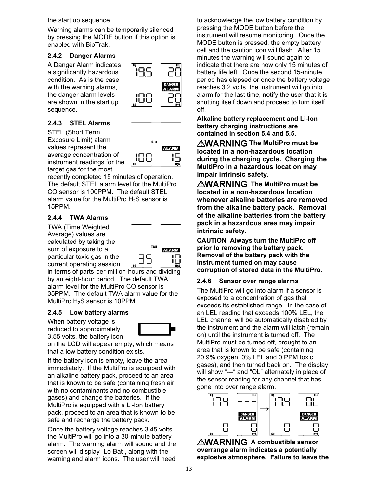the start up sequence.

Warning alarms can be temporarily silenced by pressing the MODE button if this option is enabled with BioTrak.

#### **2.4.2 Danger Alarms**

A Danger Alarm indicates a significantly hazardous condition. As is the case with the warning alarms, the danger alarm levels are shown in the start up sequence.

#### **2.4.3 STEL Alarms**

STEL (Short Term Exposure Limit) alarm values represent the average concentration of instrument readings for the target gas for the most

**STEL ALARM** ,00

19.S

IJU

recently completed 15 minutes of operation. The default STEL alarm level for the MultiPro CO sensor is 100PPM. The default STEL alarm value for the MultiPro  $H_2S$  sensor is 15PPM.

#### **2.4.4 TWA Alarms**

TWA (Time Weighted Average) values are calculated by taking the sum of exposure to a particular toxic gas in the current operating session



in terms of parts-per-million-hours and dividing by an eight-hour period. The default TWA alarm level for the MultiPro CO sensor is 35PPM. The default TWA alarm value for the MultiPro H<sub>2</sub>S sensor is 10PPM.

#### **2.4.5 Low battery alarms**

When battery voltage is reduced to approximately 3.55 volts, the battery icon



on the LCD will appear empty, which means that a low battery condition exists.

If the battery icon is empty, leave the area immediately. If the MultiPro is equipped with an alkaline battery pack, proceed to an area that is known to be safe (containing fresh air with no contaminants and no combustible gases) and change the batteries. If the MultiPro is equipped with a Li-Ion battery pack, proceed to an area that is known to be safe and recharge the battery pack.

Once the battery voltage reaches 3.45 volts the MultiPro will go into a 30-minute battery alarm. The warning alarm will sound and the screen will display "Lo-Bat", along with the warning and alarm icons. The user will need

to acknowledge the low battery condition by pressing the MODE button before the instrument will resume monitoring. Once the MODE button is pressed, the empty battery cell and the caution icon will flash. After 15 minutes the warning will sound again to indicate that there are now only 15 minutes of battery life left. Once the second 15-minute period has elapsed or once the battery voltage reaches 3.2 volts, the instrument will go into alarm for the last time, notify the user that it is shutting itself down and proceed to turn itself off.

**Alkaline battery replacement and Li-Ion battery charging instructions are contained in section 5.4 and 5.5.** 

**AWARNING The MultiPro must be located in a non-hazardous location during the charging cycle. Charging the MultiPro in a hazardous location may impair intrinsic safety.** 

**AWARNING** The MultiPro must be **located in a non-hazardous location whenever alkaline batteries are removed from the alkaline battery pack. Removal of the alkaline batteries from the battery pack in a hazardous area may impair intrinsic safety.**

**CAUTION Always turn the MultiPro off prior to removing the battery pack. Removal of the battery pack with the instrument turned on may cause corruption of stored data in the MultiPro.** 

#### **2.4.6 Sensor over range alarms**

The MultiPro will go into alarm if a sensor is exposed to a concentration of gas that exceeds its established range. In the case of an LEL reading that exceeds 100% LEL, the LEL channel will be automatically disabled by the instrument and the alarm will latch (remain on) until the instrument is turned off. The MultiPro must be turned off, brought to an area that is known to be safe (containing 20.9% oxygen, 0% LEL and 0 PPM toxic gases), and then turned back on. The display will show "---" and "OL" alternately in place of the sensor reading for any channel that has gone into over range alarm.



**AWARNING A combustible sensor overrange alarm indicates a potentially explosive atmosphere. Failure to leave the**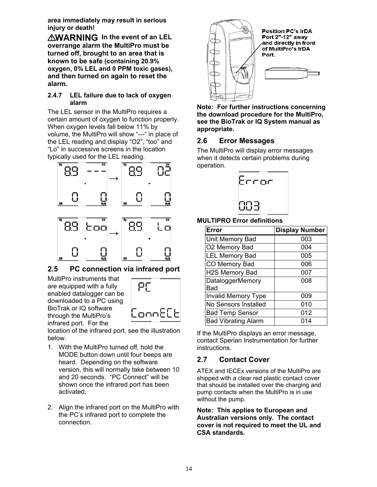**area immediately may result in serious injury or death!** 

*AWARNING* In the event of an LEL **overrange alarm the MultiPro must be turned off, brought to an area that is known to be safe (containing 20.9% oxygen, 0% LEL and 0 PPM toxic gases), and then turned on again to reset the alarm.**

#### **2.4.7 LEL failure due to lack of oxygen alarm**

The LEL sensor in the MultiPro requires a certain amount of oxygen to function properly. When oxygen levels fall below 11% by volume, the MultiPro will show "---" in place of the LEL reading and display "O2", "too" and "Lo" in successive screens in the location typically used for the LEL reading.



#### **2.5 PC connection via infrared port**

MultiPro instruments that are equipped with a fully enabled datalogger can be downloaded to a PC using BioTrak or IQ software through the MultiPro's infrared port. For the



location of the infrared port, see the illustration below.

- 1. With the MultiPro turned off, hold the MODE button down until four beeps are heard. Depending on the software version, this will normally take between 10 and 20 seconds. "PC Connect" will be shown once the infrared port has been activated.
- 2. Align the infrared port on the MultiPro with the PC's infrared port to complete the connection.



**Note: For further instructions concerning the download procedure for the MultiPro, see the BioTrak or IQ System manual as appropriate.** 

# **2.6 Error Messages**

The MultiPro will display error messages when it detects certain problems during operation.



#### **MULTIPRO Error definitions**

| Error                          | <b>Display Number</b> |
|--------------------------------|-----------------------|
| Unit Memory Bad                | 003                   |
| O2 Memory Bad                  | 004                   |
| <b>LEL Memory Bad</b>          | 005                   |
| CO Memory Bad                  | 006                   |
| H2S Memory Bad                 | 007                   |
| <b>DataloggerMemory</b><br>Bad | 008                   |
| <b>Invalid Memory Type</b>     | 009                   |
| No Sensors Installed           | 010                   |
| <b>Bad Temp Sensor</b>         | 012                   |
| <b>Bad Vibrating Alarm</b>     | 014                   |

If the MultiPro displays an error message, contact Sperian Instrumentation for further instructions.

# **2.7 Contact Cover**

ATEX and IECEx versions of the MultiPro are shipped with a clear red plastic contact cover that should be installed over the charging and pump contacts when the MultiPro is in use without the pump.

**Note: This applies to European and Australian versions only. The contact cover is not required to meet the UL and CSA standards.**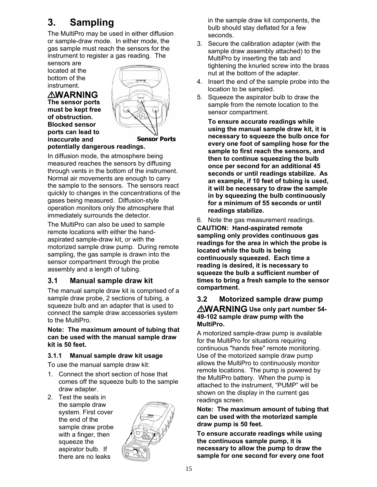# **3. Sampling**

The MultiPro may be used in either diffusion or sample-draw mode. In either mode, the gas sample must reach the sensors for the instrument to register a gas reading. The

sensors are located at the bottom of the instrument.

# **AWARNING**

**The sensor ports must be kept free of obstruction. Blocked sensor ports can lead to inaccurate and** 



**Sensor Ports** 

#### **potentially dangerous readings.**

In diffusion mode, the atmosphere being measured reaches the sensors by diffusing through vents in the bottom of the instrument. Normal air movements are enough to carry the sample to the sensors. The sensors react quickly to changes in the concentrations of the gases being measured. Diffusion-style operation monitors only the atmosphere that immediately surrounds the detector.

The MultiPro can also be used to sample remote locations with either the handaspirated sample-draw kit, or with the motorized sample draw pump. During remote sampling, the gas sample is drawn into the sensor compartment through the probe assembly and a length of tubing.

# **3.1 Manual sample draw kit**

The manual sample draw kit is comprised of a sample draw probe, 2 sections of tubing, a squeeze bulb and an adapter that is used to connect the sample draw accessories system to the MultiPro.

**Note: The maximum amount of tubing that can be used with the manual sample draw kit is 50 feet.** 

#### **3.1.1 Manual sample draw kit usage**

To use the manual sample draw kit:

- 1. Connect the short section of hose that comes off the squeeze bulb to the sample draw adapter.
- 2. Test the seals in the sample draw system. First cover the end of the sample draw probe with a finger, then squeeze the aspirator bulb. If there are no leaks



in the sample draw kit components, the bulb should stay deflated for a few seconds.

- 3. Secure the calibration adapter (with the sample draw assembly attached) to the MultiPro by inserting the tab and tightening the knurled screw into the brass nut at the bottom of the adapter.
- 4. Insert the end of the sample probe into the location to be sampled.
- 5. Squeeze the aspirator bulb to draw the sample from the remote location to the sensor compartment.

**To ensure accurate readings while using the manual sample draw kit, it is necessary to squeeze the bulb once for every one foot of sampling hose for the sample to first reach the sensors, and then to continue squeezing the bulb once per second for an additional 45 seconds or until readings stabilize. As an example, if 10 feet of tubing is used, it will be necessary to draw the sample in by squeezing the bulb continuously for a minimum of 55 seconds or until readings stabilize.** 

6. Note the gas measurement readings. **CAUTION: Hand-aspirated remote sampling only provides continuous gas readings for the area in which the probe is located while the bulb is being continuously squeezed. Each time a reading is desired, it is necessary to squeeze the bulb a sufficient number of times to bring a fresh sample to the sensor compartment.** 

#### **3.2 Motorized sample draw pump**  *AWARNING* Use only part number 54-**49-102 sample draw pump with the MultiPro.**

A motorized sample-draw pump is available for the MultiPro for situations requiring continuous "hands free" remote monitoring. Use of the motorized sample draw pump allows the MultiPro to continuously monitor remote locations. The pump is powered by the MultiPro battery. When the pump is attached to the instrument, "PUMP" will be shown on the display in the current gas readings screen.

**Note: The maximum amount of tubing that can be used with the motorized sample draw pump is 50 feet.** 

**To ensure accurate readings while using the continuous sample pump, it is necessary to allow the pump to draw the sample for one second for every one foot**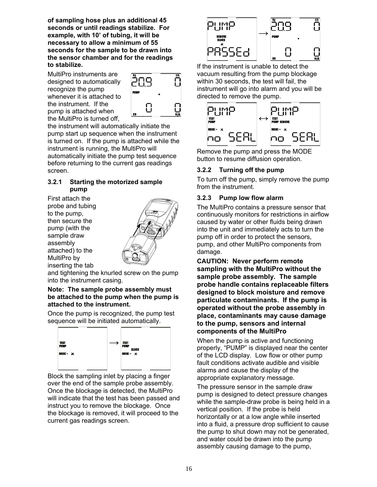**of sampling hose plus an additional 45 seconds or until readings stabilize. For example, with 10' of tubing, it will be necessary to allow a minimum of 55 seconds for the sample to be drawn into the sensor chamber and for the readings to stabilize.** 

MultiPro instruments are designed to automatically recognize the pump whenever it is attached to the instrument. If the pump is attached when the MultiPro is turned off,



the instrument will automatically initiate the pump start up sequence when the instrument is turned on. If the pump is attached while the instrument is running, the MultiPro will automatically initiate the pump test sequence before returning to the current gas readings screen.

#### **3.2.1 Starting the motorized sample pump**

First attach the probe and tubing to the pump, then secure the pump (with the sample draw assembly attached) to the MultiPro by inserting the tab



and tightening the knurled screw on the pump into the instrument casing.

#### **Note: The sample probe assembly must be attached to the pump when the pump is attached to the instrument.**

Once the pump is recognized, the pump test sequence will be initiated automatically.



Block the sampling inlet by placing a finger over the end of the sample probe assembly. Once the blockage is detected, the MultiPro will indicate that the test has been passed and instruct you to remove the blockage. Once the blockage is removed, it will proceed to the current gas readings screen.



If the instrument is unable to detect the vacuum resulting from the pump blockage within 30 seconds, the test will fail, the instrument will go into alarm and you will be directed to remove the pump.



Remove the pump and press the MODE button to resume diffusion operation.

#### **3.2.2 Turning off the pump**

To turn off the pump, simply remove the pump from the instrument.

#### **3.2.3 Pump low flow alarm**

The MultiPro contains a pressure sensor that continuously monitors for restrictions in airflow caused by water or other fluids being drawn into the unit and immediately acts to turn the pump off in order to protect the sensors, pump, and other MultiPro components from damage.

**CAUTION: Never perform remote sampling with the MultiPro without the sample probe assembly. The sample probe handle contains replaceable filters designed to block moisture and remove particulate contaminants. If the pump is operated without the probe assembly in place, contaminants may cause damage to the pump, sensors and internal components of the MultiPro**

When the pump is active and functioning properly, "PUMP" is displayed near the center of the LCD display. Low flow or other pump fault conditions activate audible and visible alarms and cause the display of the appropriate explanatory message.

The pressure sensor in the sample draw pump is designed to detect pressure changes while the sample-draw probe is being held in a vertical position. If the probe is held horizontally or at a low angle while inserted into a fluid, a pressure drop sufficient to cause the pump to shut down may not be generated, and water could be drawn into the pump assembly causing damage to the pump,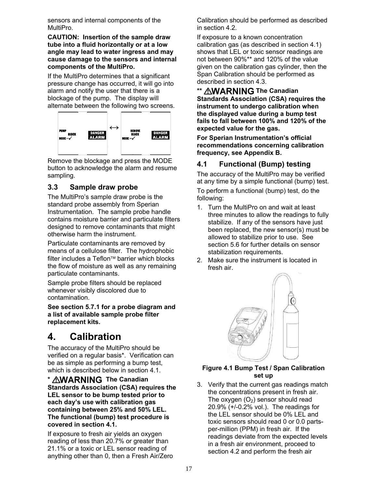sensors and internal components of the MultiPro.

**CAUTION: Insertion of the sample draw tube into a fluid horizontally or at a low angle may lead to water ingress and may cause damage to the sensors and internal components of the MultiPro.**

If the MultiPro determines that a significant pressure change has occurred, it will go into alarm and notify the user that there is a blockage of the pump. The display will alternate between the following two screens.



Remove the blockage and press the MODE button to acknowledge the alarm and resume sampling.

# **3.3 Sample draw probe**

The MultiPro's sample draw probe is the standard probe assembly from Sperian Instrumentation. The sample probe handle contains moisture barrier and particulate filters designed to remove contaminants that might otherwise harm the instrument.

Particulate contaminants are removed by means of a cellulose filter. The hydrophobic  $filter$  includes a Teflon<sup> $M$ </sup> barrier which blocks the flow of moisture as well as any remaining particulate contaminants.

Sample probe filters should be replaced whenever visibly discolored due to contamination.

**See section 5.7.1 for a probe diagram and a list of available sample probe filter replacement kits.**

# **4. Calibration**

The accuracy of the MultiPro should be verified on a regular basis\*. Verification can be as simple as performing a bump test, which is described below in section 4.1.

**\* AWARNING The Canadian Standards Association (CSA) requires the LEL sensor to be bump tested prior to each day's use with calibration gas containing between 25% and 50% LEL. The functional (bump) test procedure is covered in section 4.1.** 

If exposure to fresh air yields an oxygen reading of less than 20.7% or greater than 21.1% or a toxic or LEL sensor reading of anything other than 0, then a Fresh Air/Zero Calibration should be performed as described in section 4.2.

If exposure to a known concentration calibration gas (as described in section 4.1) shows that LEL or toxic sensor readings are not between 90%\*\* and 120% of the value given on the calibration gas cylinder, then the Span Calibration should be performed as described in section 4.3.

\*\* **AWARNING** The Canadian **Standards Association (CSA) requires the instrument to undergo calibration when the displayed value during a bump test fails to fall between 100% and 120% of the expected value for the gas.** 

**For Sperian Instrumentation's official recommendations concerning calibration frequency, see Appendix B.** 

# **4.1 Functional (Bump) testing**

The accuracy of the MultiPro may be verified at any time by a simple functional (bump) test.

To perform a functional (bump) test, do the following:

- 1. Turn the MultiPro on and wait at least three minutes to allow the readings to fully stabilize. If any of the sensors have just been replaced, the new sensor(s) must be allowed to stabilize prior to use. See section 5.6 for further details on sensor stabilization requirements.
- 2. Make sure the instrument is located in fresh air.



#### **Figure 4.1 Bump Test / Span Calibration set up**

3. Verify that the current gas readings match the concentrations present in fresh air. The oxygen  $(O<sub>2</sub>)$  sensor should read 20.9% (+/-0.2% vol.). The readings for the LEL sensor should be 0% LEL and toxic sensors should read 0 or 0.0 partsper-million (PPM) in fresh air. If the readings deviate from the expected levels in a fresh air environment, proceed to section 4.2 and perform the fresh air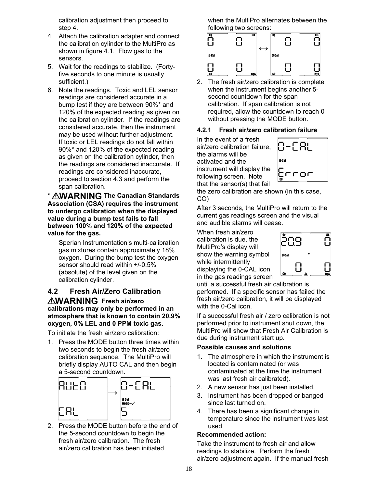calibration adjustment then proceed to step 4.

- 4. Attach the calibration adapter and connect the calibration cylinder to the MultiPro as shown in figure 4.1. Flow gas to the sensors.
- 5. Wait for the readings to stabilize. (Fortyfive seconds to one minute is usually sufficient.)
- 6. Note the readings. Toxic and LEL sensor readings are considered accurate in a bump test if they are between 90%\* and 120% of the expected reading as given on the calibration cylinder. If the readings are considered accurate, then the instrument may be used without further adjustment. If toxic or LEL readings do not fall within 90%\* and 120% of the expected reading as given on the calibration cylinder, then the readings are considered inaccurate. If readings are considered inaccurate, proceed to section 4.3 and perform the span calibration.

**\* The Canadian Standards Association (CSA) requires the instrument to undergo calibration when the displayed value during a bump test fails to fall between 100% and 120% of the expected value for the gas.** 

Sperian Instrumentation's multi-calibration gas mixtures contain approximately 18% oxygen. During the bump test the oxygen sensor should read within +/-0.5% (absolute) of the level given on the calibration cylinder.

#### **4.2 Fresh Air/Zero Calibration AWARNING** Fresh air/zero **calibrations may only be performed in an atmosphere that is known to contain 20.9% oxygen, 0% LEL and 0 PPM toxic gas.**

To initiate the fresh air/zero calibration:

1. Press the MODE button three times within two seconds to begin the fresh air/zero calibration sequence. The MultiPro will briefly display AUTO CAL and then begin a 5-second countdown.



2. Press the MODE button before the end of the 5-second countdown to begin the fresh air/zero calibration. The fresh air/zero calibration has been initiated

when the MultiPro alternates between the following two screens:



2. The fresh air/zero calibration is complete when the instrument begins another 5 second countdown for the span calibration. If span calibration is not required, allow the countdown to reach 0 without pressing the MODE button.

#### **4.2.1 Fresh air/zero calibration failure**

In the event of a fresh air/zero calibration failure, the alarms will be activated and the instrument will display the following screen. Note that the sensor(s) that fail



the zero calibration are shown (in this case, CO)

After 3 seconds, the MultiPro will return to the current gas readings screen and the visual and audible alarms will cease.

When fresh air/zero calibration is due, the MultiPro's display will show the warning symbol while intermittently displaying the 0-CAL icon in the gas readings screen



until a successful fresh air calibration is performed. If a specific sensor has failed the fresh air/zero calibration, it will be displayed with the 0-Cal icon.

If a successful fresh air / zero calibration is not performed prior to instrument shut down, the MultiPro will show that Fresh Air Calibration is due during instrument start up.

#### **Possible causes and solutions**

- 1. The atmosphere in which the instrument is located is contaminated (or was contaminated at the time the instrument was last fresh air calibrated).
- 2. A new sensor has just been installed.
- 3. Instrument has been dropped or banged since last turned on.
- 4. There has been a significant change in temperature since the instrument was last used.

#### **Recommended action:**

Take the instrument to fresh air and allow readings to stabilize. Perform the fresh air/zero adjustment again. If the manual fresh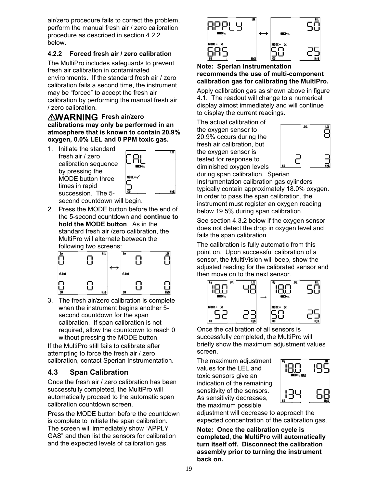air/zero procedure fails to correct the problem, perform the manual fresh air / zero calibration procedure as described in section 4.2.2 below.

#### **4.2.2 Forced fresh air / zero calibration**

The MultiPro includes safeguards to prevent fresh air calibration in contaminated environments. If the standard fresh air / zero calibration fails a second time, the instrument may be "forced" to accept the fresh air calibration by performing the manual fresh air / zero calibration.

#### **AWARNING** Fresh air/zero **calibrations may only be performed in an atmosphere that is known to contain 20.9% oxygen, 0.0% LEL and 0 PPM toxic gas.**

1. Initiate the standard fresh air / zero calibration sequence by pressing the MODE button three times in rapid succession. The 5-



second countdown will begin.

2. Press the MODE button before the end of the 5-second countdown and **continue to hold the MODE button**. As in the standard fresh air /zero calibration, the MultiPro will alternate between the following two screens:



3. The fresh air/zero calibration is complete when the instrument begins another 5 second countdown for the span calibration. If span calibration is not required, allow the countdown to reach 0 without pressing the MODE button.

If the MultiPro still fails to calibrate after attempting to force the fresh air / zero calibration, contact Sperian Instrumentation.

# **4.3 Span Calibration**

Once the fresh air / zero calibration has been successfully completed, the MultiPro will automatically proceed to the automatic span calibration countdown screen.

Press the MODE button before the countdown is complete to initiate the span calibration. The screen will immediately show "APPLY GAS" and then list the sensors for calibration and the expected levels of calibration gas.



#### **Note: Sperian Instrumentation recommends the use of multi-component calibration gas for calibrating the MultiPro.**

Apply calibration gas as shown above in figure 4.1. The readout will change to a numerical display almost immediately and will continue to display the current readings.

The actual calibration of the oxygen sensor to 20.9% occurs during the fresh air calibration, but the oxygen sensor is tested for response to diminished oxygen levels





Instrumentation calibration gas cylinders typically contain approximately 18.0% oxygen. In order to pass the span calibration, the instrument must register an oxygen reading below 19.5% during span calibration.

See section 4.3.2 below if the oxygen sensor does not detect the drop in oxygen level and fails the span calibration.

The calibration is fully automatic from this point on. Upon successful calibration of a sensor, the MultiVision will beep, show the adjusted reading for the calibrated sensor and then move on to the next sensor.



Once the calibration of all sensors is successfully completed, the MultiPro will briefly show the maximum adjustment values screen.

The maximum adjustment values for the LEL and toxic sensors give an indication of the remaining sensitivity of the sensors. As sensitivity decreases, the maximum possible



adjustment will decrease to approach the expected concentration of the calibration gas.

**Note: Once the calibration cycle is completed, the MultiPro will automatically turn itself off. Disconnect the calibration assembly prior to turning the instrument back on.**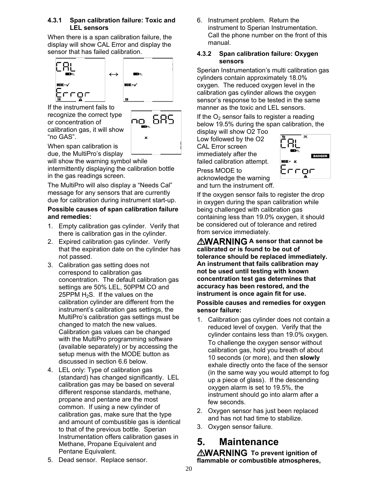#### **4.3.1 Span calibration failure: Toxic and LEL sensors**

When there is a span calibration failure, the display will show CAL Error and display the sensor that has failed calibration.



If the instrument fails to recognize the correct type or concentration of calibration gas, it will show "no GAS".



When span calibration is due, the MultiPro's display

will show the warning symbol while intermittently displaying the calibration bottle in the gas readings screen.

The MultiPro will also display a "Needs Cal" message for any sensors that are currently due for calibration during instrument start-up.

#### **Possible causes of span calibration failure and remedies:**

- 1. Empty calibration gas cylinder. Verify that there is calibration gas in the cylinder.
- 2. Expired calibration gas cylinder. Verify that the expiration date on the cylinder has not passed.
- 3. Calibration gas setting does not correspond to calibration gas concentration. The default calibration gas settings are 50% LEL, 50PPM CO and 25PPM  $H_2S$ . If the values on the calibration cylinder are different from the instrument's calibration gas settings, the MultiPro's calibration gas settings must be changed to match the new values. Calibration gas values can be changed with the MultiPro programming software (available separately) or by accessing the setup menus with the MODE button as discussed in section 6.6 below.
- 4. LEL only: Type of calibration gas (standard) has changed significantly. LEL calibration gas may be based on several different response standards, methane, propane and pentane are the most common. If using a new cylinder of calibration gas, make sure that the type and amount of combustible gas is identical to that of the previous bottle. Sperian Instrumentation offers calibration gases in Methane, Propane Equivalent and Pentane Equivalent.

6. Instrument problem. Return the instrument to Sperian Instrumentation. Call the phone number on the front of this manual.

#### **4.3.2 Span calibration failure: Oxygen sensors**

Sperian Instrumentation's multi calibration gas cylinders contain approximately 18.0% oxygen. The reduced oxygen level in the calibration gas cylinder allows the oxygen sensor's response to be tested in the same manner as the toxic and LEL sensors.

If the  $O<sub>2</sub>$  sensor fails to register a reading below 19.5% during the span calibration, the

display will show O2 Too Low followed by the O2 CAL Error screen immediately after the failed calibration attempt.

**DANGER** coc

Press MODE to acknowledge the warning and turn the instrument off.

If the oxygen sensor fails to register the drop in oxygen during the span calibration while being challenged with calibration gas containing less than 19.0% oxygen, it should be considered out of tolerance and retired from service immediately.

**AWARNING A sensor that cannot be calibrated or is found to be out of tolerance should be replaced immediately. An instrument that fails calibration may not be used until testing with known concentration test gas determines that accuracy has been restored, and the instrument is once again fit for use.** 

#### **Possible causes and remedies for oxygen sensor failure:**

- 1. Calibration gas cylinder does not contain a reduced level of oxygen. Verify that the cylinder contains less than 19.0% oxygen. To challenge the oxygen sensor without calibration gas, hold you breath of about 10 seconds (or more), and then **slowly** exhale directly onto the face of the sensor (in the same way you would attempt to fog up a piece of glass). If the descending oxygen alarm is set to 19.5%, the instrument should go into alarm after a few seconds.
- 2. Oxygen sensor has just been replaced and has not had time to stabilize.
- 3. Oxygen sensor failure.

# **5. Maintenance**

**AWARNING** To prevent ignition of **flammable or combustible atmospheres,** 

5. Dead sensor. Replace sensor.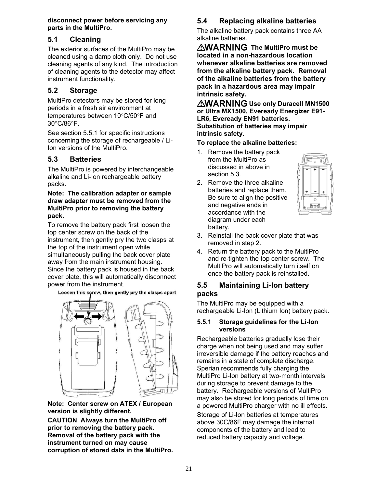**disconnect power before servicing any parts in the MultiPro.** 

# **5.1 Cleaning**

The exterior surfaces of the MultiPro may be cleaned using a damp cloth only. Do not use cleaning agents of any kind. The introduction of cleaning agents to the detector may affect instrument functionality.

# **5.2 Storage**

MultiPro detectors may be stored for long periods in a fresh air environment at temperatures between  $10^{\circ}$ C/50 $^{\circ}$ F and 30C/86F.

See section 5.5.1 for specific instructions concerning the storage of rechargeable / Li-Ion versions of the MultiPro.

# **5.3 Batteries**

The MultiPro is powered by interchangeable alkaline and Li-Ion rechargeable battery packs.

#### **Note: The calibration adapter or sample draw adapter must be removed from the MultiPro prior to removing the battery pack.**

To remove the battery pack first loosen the top center screw on the back of the instrument, then gently pry the two clasps at the top of the instrument open while simultaneously pulling the back cover plate away from the main instrument housing. Since the battery pack is housed in the back cover plate, this will automatically disconnect power from the instrument.

Loosen this screw, then gently pry the clasps apart



**Note: Center screw on ATEX / European version is slightly different.** 

**CAUTION Always turn the MultiPro off prior to removing the battery pack. Removal of the battery pack with the instrument turned on may cause corruption of stored data in the MultiPro.**

# **5.4 Replacing alkaline batteries**

The alkaline battery pack contains three AA alkaline batteries.

*<b>NWARNING* The MultiPro must be **located in a non-hazardous location whenever alkaline batteries are removed from the alkaline battery pack. Removal of the alkaline batteries from the battery pack in a hazardous area may impair intrinsic safety.**

*AWARNING Use only Duracell MN1500* **or Ultra MX1500, Eveready Energizer E91- LR6, Eveready EN91 batteries. Substitution of batteries may impair intrinsic safety.**

#### **To replace the alkaline batteries:**

- 1. Remove the battery pack from the MultiPro as discussed in above in section 5.3.
- 2. Remove the three alkaline batteries and replace them. Be sure to align the positive and negative ends in accordance with the diagram under each battery.



- 3. Reinstall the back cover plate that was removed in step 2.
- 4. Return the battery pack to the MultiPro and re-tighten the top center screw. The MultiPro will automatically turn itself on once the battery pack is reinstalled.

# **5.5 Maintaining Li-Ion battery packs**

The MultiPro may be equipped with a rechargeable Li-Ion (Lithium Ion) battery pack.

#### **5.5.1 Storage guidelines for the Li-Ion versions**

Rechargeable batteries gradually lose their charge when not being used and may suffer irreversible damage if the battery reaches and remains in a state of complete discharge. Sperian recommends fully charging the MultiPro Li-Ion battery at two-month intervals during storage to prevent damage to the battery. Rechargeable versions of MultiPro may also be stored for long periods of time on a powered MultiPro charger with no ill effects.

Storage of Li-Ion batteries at temperatures above 30C/86F may damage the internal components of the battery and lead to reduced battery capacity and voltage.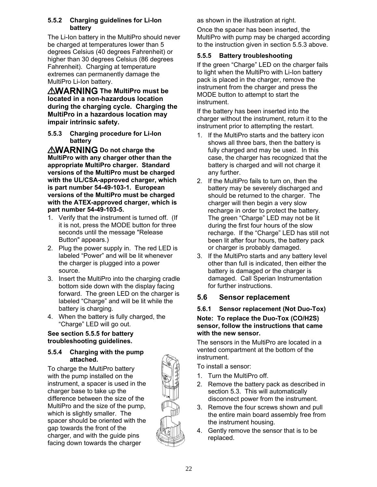#### **5.5.2 Charging guidelines for Li-Ion battery**

The Li-Ion battery in the MultiPro should never be charged at temperatures lower than 5 degrees Celsius (40 degrees Fahrenheit) or higher than 30 degrees Celsius (86 degrees Fahrenheit). Charging at temperature extremes can permanently damage the MultiPro Li-Ion battery.

**AWARNING The MultiPro must be located in a non-hazardous location during the charging cycle. Charging the MultiPro in a hazardous location may impair intrinsic safety.**

**5.5.3 Charging procedure for Li-Ion battery** 

**AWARNING** Do not charge the **MultiPro with any charger other than the appropriate MultiPro charger. Standard versions of the MultiPro must be charged with the UL/CSA-approved charger, which is part number 54-49-103-1. European versions of the MultiPro must be charged with the ATEX-approved charger, which is part number 54-49-103-5.** 

- 1. Verify that the instrument is turned off. (If it is not, press the MODE button for three seconds until the message "Release Button" appears.)
- 2. Plug the power supply in. The red LED is labeled "Power" and will be lit whenever the charger is plugged into a power source.
- 3. Insert the MultiPro into the charging cradle bottom side down with the display facing forward. The green LED on the charger is labeled "Charge" and will be lit while the battery is charging.
- 4. When the battery is fully charged, the "Charge" LED will go out.

#### **See section 5.5.5 for battery troubleshooting guidelines.**

#### **5.5.4 Charging with the pump attached.**

To charge the MultiPro battery with the pump installed on the instrument, a spacer is used in the charger base to take up the difference between the size of the MultiPro and the size of the pump, which is slightly smaller. The spacer should be oriented with the gap towards the front of the charger, and with the guide pins facing down towards the charger

as shown in the illustration at right.

Once the spacer has been inserted, the MultiPro with pump may be charged according to the instruction given in section 5.5.3 above.

### **5.5.5 Battery troubleshooting**

If the green "Charge" LED on the charger fails to light when the MultiPro with Li-Ion battery pack is placed in the charger, remove the instrument from the charger and press the MODE button to attempt to start the instrument.

If the battery has been inserted into the charger without the instrument, return it to the instrument prior to attempting the restart.

- 1. If the MultiPro starts and the battery icon shows all three bars, then the battery is fully charged and may be used. In this case, the charger has recognized that the battery is charged and will not charge it any further.
- 2. If the MultiPro fails to turn on, then the battery may be severely discharged and should be returned to the charger. The charger will then begin a very slow recharge in order to protect the battery. The green "Charge" LED may not be lit during the first four hours of the slow recharge. If the "Charge" LED has still not been lit after four hours, the battery pack or charger is probably damaged.
- 3. If the MultiPro starts and any battery level other than full is indicated, then either the battery is damaged or the charger is damaged. Call Sperian Instrumentation for further instructions.

# **5.6 Sensor replacement**

#### **5.6.1 Sensor replacement (Not Duo-Tox)**

#### **Note: To replace the Duo-Tox (CO/H2S) sensor, follow the instructions that came with the new sensor.**

The sensors in the MultiPro are located in a vented compartment at the bottom of the instrument.

To install a sensor:

- 1. Turn the MultiPro off.
- 2. Remove the battery pack as described in section 5.3. This will automatically disconnect power from the instrument.
- 3. Remove the four screws shown and pull the entire main board assembly free from the instrument housing.
- 4. Gently remove the sensor that is to be replaced.

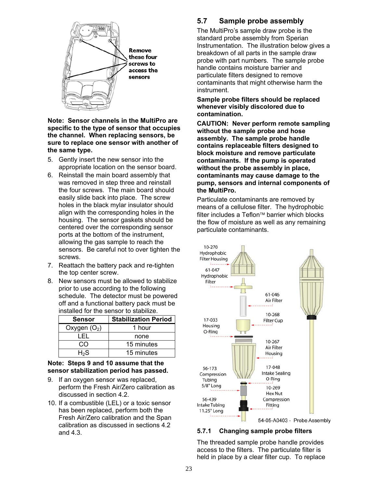

#### **Note: Sensor channels in the MultiPro are specific to the type of sensor that occupies the channel. When replacing sensors, be sure to replace one sensor with another of the same type.**

- 5. Gently insert the new sensor into the appropriate location on the sensor board.
- 6. Reinstall the main board assembly that was removed in step three and reinstall the four screws. The main board should easily slide back into place. The screw holes in the black mylar insulator should align with the corresponding holes in the housing. The sensor gaskets should be centered over the corresponding sensor ports at the bottom of the instrument, allowing the gas sample to reach the sensors. Be careful not to over tighten the screws.
- 7. Reattach the battery pack and re-tighten the top center screw.
- 8. New sensors must be allowed to stabilize prior to use according to the following schedule. The detector must be powered off and a functional battery pack must be installed for the sensor to stabilize.

| <b>Sensor</b>  | <b>Stabilization Period</b> |
|----------------|-----------------------------|
| Oxygen $(O_2)$ | 1 hour                      |
| I EI           | none                        |
| ററ             | 15 minutes                  |
| $H_2S$         | 15 minutes                  |

#### **Note: Steps 9 and 10 assume that the sensor stabilization period has passed.**

- 9. If an oxygen sensor was replaced, perform the Fresh Air/Zero calibration as discussed in section 4.2.
- 10. If a combustible (LEL) or a toxic sensor has been replaced, perform both the Fresh Air/Zero calibration and the Span calibration as discussed in sections 4.2 and 4.3.

# **5.7 Sample probe assembly**

The MultiPro's sample draw probe is the standard probe assembly from Sperian Instrumentation. The illustration below gives a breakdown of all parts in the sample draw probe with part numbers. The sample probe handle contains moisture barrier and particulate filters designed to remove contaminants that might otherwise harm the instrument.

#### **Sample probe filters should be replaced whenever visibly discolored due to contamination.**

**CAUTION: Never perform remote sampling without the sample probe and hose assembly. The sample probe handle contains replaceable filters designed to block moisture and remove particulate contaminants. If the pump is operated without the probe assembly in place, contaminants may cause damage to the pump, sensors and internal components of the MultiPro.** 

Particulate contaminants are removed by means of a cellulose filter. The hydrophobic  $filter$  includes a Teflon $TM$  barrier which blocks the flow of moisture as well as any remaining particulate contaminants.



#### **5.7.1 Changing sample probe filters**

The threaded sample probe handle provides access to the filters. The particulate filter is held in place by a clear filter cup. To replace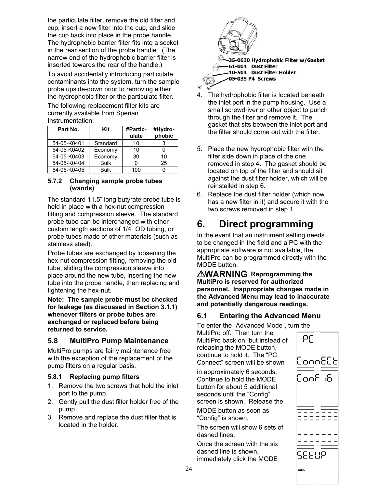the particulate filter, remove the old filter and cup, insert a new filter into the cup, and slide the cup back into place in the probe handle. The hydrophobic barrier filter fits into a socket in the rear section of the probe handle. (The narrow end of the hydrophobic barrier filter is inserted towards the rear of the handle.)

To avoid accidentally introducing particulate contaminants into the system, turn the sample probe upside-down prior to removing either the hydrophobic filter or the particulate filter.

The following replacement filter kits are currently available from Sperian Instrumentation:

| Part No.    | Kit         | <b>#Partic-</b><br>ulate | #Hydro-<br>phobic |
|-------------|-------------|--------------------------|-------------------|
| 54-05-K0401 | Standard    | 10                       | 3                 |
| 54-05-K0402 | Economy     | 10                       |                   |
| 54-05-K0403 | Economy     | 30                       | 10                |
| 54-05-K0404 | <b>Bulk</b> |                          | 25                |
| 54-05-K0405 | <b>Bulk</b> | 100                      |                   |

#### **5.7.2 Changing sample probe tubes (wands)**

The standard 11.5" long butyrate probe tube is held in place with a hex-nut compression fitting and compression sleeve. The standard probe tube can be interchanged with other custom length sections of 1/4" OD tubing, or probe tubes made of other materials (such as stainless steel).

Probe tubes are exchanged by loosening the hex-nut compression fitting, removing the old tube, sliding the compression sleeve into place around the new tube, inserting the new tube into the probe handle, then replacing and tightening the hex-nut.

**Note: The sample probe must be checked for leakage (as discussed in Section 3.1.1) whenever filters or probe tubes are exchanged or replaced before being returned to service.** 

# **5.8 MultiPro Pump Maintenance**

MultiPro pumps are fairly maintenance free with the exception of the replacement of the pump filters on a regular basis.

#### **5.8.1 Replacing pump filters**

- 1. Remove the two screws that hold the inlet port to the pump.
- 2. Gently pull the dust filter holder free of the pump.
- 3. Remove and replace the dust filter that is located in the holder.



- 4. The hydrophobic filter is located beneath the inlet port in the pump housing. Use a small screwdriver or other object to punch through the filter and remove it. The gasket that sits between the inlet port and the filter should come out with the filter.
- 5. Place the new hydrophobic filter with the filter side down in place of the one removed in step 4. The gasket should be located on top of the filter and should sit against the dust filter holder, which will be reinstalled in step 6.
- 6. Replace the dust filter holder (which now has a new filter in it) and secure it with the two screws removed in step 1.

# **6. Direct programming**

In the event that an instrument setting needs to be changed in the field and a PC with the appropriate software is not available, the MultiPro can be programmed directly with the MODE button.

**AWARNING** Reprogramming the **MultiPro is reserved for authorized personnel. Inappropriate changes made in the Advanced Menu may lead to inaccurate and potentially dangerous readings.** 

# **6.1 Entering the Advanced Menu**

To enter the "Advanced Mode", turn the

MultiPro off. Then turn the MultiPro back on, but instead of releasing the MODE button, continue to hold it. The "PC Connect" screen will be shown

in approximately 6 seconds. Continue to hold the MODE button for about 5 additional seconds until the "Config" screen is shown. Release the

MODE button as soon as "Config" is shown.

The screen will show 6 sets of dashed lines.

Once the screen with the six dashed line is shown, immediately click the MODE

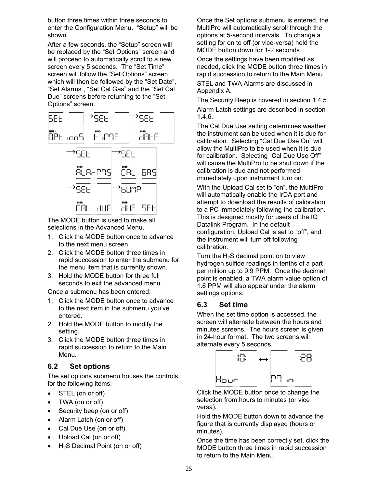button three times within three seconds to enter the Configuration Menu. "Setup" will be shown.

After a few seconds, the "Setup" screen will be replaced by the "Set Options" screen and will proceed to automatically scroll to a new screen every 5 seconds. The "Set Time" screen will follow the "Set Options" screen, which will then be followed by the "Set Date", "Set Alarms", "Set Cal Gas" and the "Set Cal Due" screens before returning to the "Set Options" screen.



The MODE button is used to make all selections in the Advanced Menu.

- 1. Click the MODE button once to advance to the next menu screen
- 2. Click the MODE button three times in rapid succession to enter the submenu for the menu item that is currently shown.
- 3. Hold the MODE button for three full seconds to exit the advanced menu.

Once a submenu has been entered:

- 1. Click the MODE button once to advance to the next item in the submenu you've entered.
- 2. Hold the MODE button to modify the setting.
- 3. Click the MODE button three times in rapid succession to return to the Main Menu.

#### **6.2 Set options**

The set options submenu houses the controls for the following items:

- STEL (on or off)
- TWA (on or off)
- Security beep (on or off)
- Alarm Latch (on or off)
- Cal Due Use (on or off)
- Upload Cal (on or off)
- $\bullet$  H<sub>2</sub>S Decimal Point (on or off)

Once the Set options submenu is entered, the MultiPro will automatically scroll through the options at 5-second intervals. To change a setting for on to off (or vice-versa) hold the MODE button down for 1-2 seconds.

Once the settings have been modified as needed, click the MODE button three times in rapid succession to return to the Main Menu. STEL and TWA Alarms are discussed in

Appendix A. The Security Beep is covered in section 1.4.5. Alarm Latch settings are described in section 1.4.6.

The Cal Due Use setting determines weather the instrument can be used when it is due for calibration. Selecting "Cal Due Use On" will allow the MultiPro to be used when it is due for calibration. Selecting "Cal Due Use Off" will cause the MultiPro to be shut down if the calibration is due and not performed immediately upon instrument turn on.

With the Upload Cal set to "on", the MultiPro will automatically enable the IrDA port and attempt to download the results of calibration to a PC immediately following the calibration. This is designed mostly for users of the IQ Datalink Program. In the default configuration, Upload Cal is set to "off", and the instrument will turn off following calibration.

Turn the  $H_2S$  decimal point on to view hydrogen sulfide readings in tenths of a part per million up to 9.9 PPM. Once the decimal point is enabled, a TWA alarm value option of 1.6 PPM will also appear under the alarm settings options.

# **6.3 Set time**

When the set time option is accessed, the screen will alternate between the hours and minutes screens. The hours screen is given in 24-hour format. The two screens will alternate every 5 seconds.



Click the MODE button once to change the selection from hours to minutes (or vice versa).

Hold the MODE button down to advance the figure that is currently displayed (hours or minutes).

Once the time has been correctly set, click the MODE button three times in rapid succession to return to the Main Menu.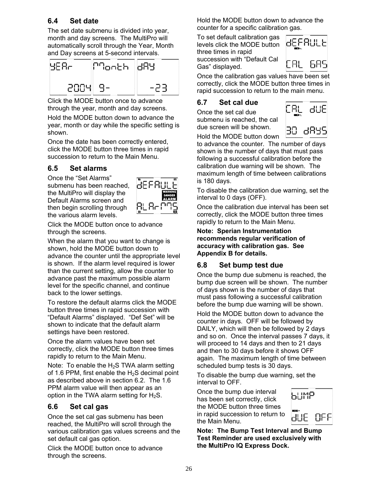# **6.4 Set date**

The set date submenu is divided into year, month and day screens. The MultiPro will automatically scroll through the Year, Month and Day screens at 5-second intervals.



Click the MODE button once to advance through the year, month and day screens.

Hold the MODE button down to advance the year, month or day while the specific setting is shown.

Once the date has been correctly entered, click the MODE button three times in rapid succession to return to the Main Menu.

# **6.5 Set alarms**

Once the "Set Alarms" submenu has been reached, the MultiPro will display the Default Alarms screen and then begin scrolling through the various alarm levels.



Click the MODE button once to advance through the screens.

When the alarm that you want to change is shown, hold the MODE button down to advance the counter until the appropriate level is shown. If the alarm level required is lower than the current setting, allow the counter to advance past the maximum possible alarm level for the specific channel, and continue back to the lower settings.

To restore the default alarms click the MODE button three times in rapid succession with "Default Alarms" displayed. "Def Set" will be shown to indicate that the default alarm settings have been restored.

Once the alarm values have been set correctly, click the MODE button three times rapidly to return to the Main Menu.

Note: To enable the  $H_2S$  TWA alarm setting of 1.6 PPM, first enable the  $H_2S$  decimal point as described above in section 6.2. The 1.6 PPM alarm value will then appear as an option in the TWA alarm setting for  $H_2S$ .

#### **6.6 Set cal gas**

Once the set cal gas submenu has been reached, the MultiPro will scroll through the various calibration gas values screens and the set default cal gas option.

Click the MODE button once to advance through the screens.

Hold the MODE button down to advance the counter for a specific calibration gas.

To set default calibration gas levels click the MODE button three times in rapid succession with "Default Cal Gas" displayed.



Once the calibration gas values have been set correctly, click the MODE button three times in rapid succession to return to the main menu.

### **6.7 Set cal due**

Once the set cal due submenu is reached, the cal due screen will be shown.



Hold the MODE button down to advance the counter. The number of days shown is the number of days that must pass following a successful calibration before the calibration due warning will be shown. The maximum length of time between calibrations is 180 days.

To disable the calibration due warning, set the interval to 0 days (OFF).

Once the calibration due interval has been set correctly, click the MODE button three times rapidly to return to the Main Menu.

**Note: Sperian Instrumentation recommends regular verification of accuracy with calibration gas. See Appendix B for details.** 

# **6.8 Set bump test due**

Once the bump due submenu is reached, the bump due screen will be shown. The number of days shown is the number of days that must pass following a successful calibration before the bump due warning will be shown.

Hold the MODE button down to advance the counter in days. OFF will be followed by DAILY, which will then be followed by 2 days and so on. Once the interval passes 7 days, it will proceed to 14 days and then to 21 days and then to 30 days before it shows OFF again. The maximum length of time between scheduled bump tests is 30 days.

To disable the bump due warning, set the interval to OFF.

Once the bump due interval has been set correctly, click the MODE button three times in rapid succession to return to the Main Menu.



**Note: The Bump Test Interval and Bump Test Reminder are used exclusively with the MultiPro IQ Express Dock.**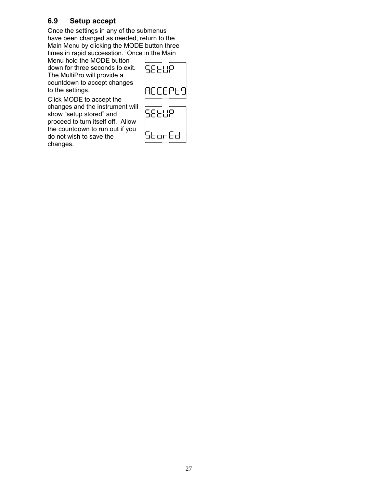# **6.9 Setup accept**

Once the settings in any of the submenus have been changed as needed, return to the Main Menu by clicking the MODE button three times in rapid successtion. Once in the Main

Menu hold the MODE button down for three seconds to exit. The MultiPro will provide a countdown to accept changes to the settings.



Click MODE to accept the changes and the instrument will show "setup stored" and proceed to turn itself off. Allow the countdown to run out if you do not wish to save the changes.

| 5860P  |  |
|--------|--|
| StorEd |  |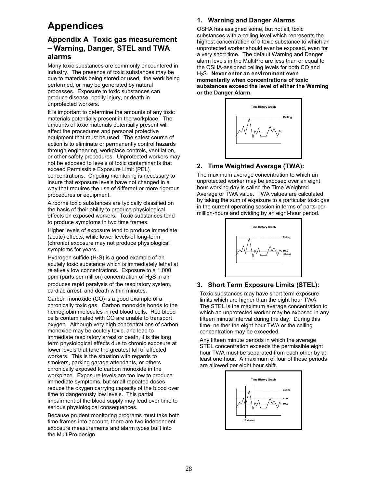# **Appendices**

# **Appendix A Toxic gas measurement – Warning, Danger, STEL and TWA alarms**

Many toxic substances are commonly encountered in industry. The presence of toxic substances may be due to materials being stored or used, the work being performed, or may be generated by natural processes. Exposure to toxic substances can produce disease, bodily injury, or death in unprotected workers.

It is important to determine the amounts of any toxic materials potentially present in the workplace. The amounts of toxic materials potentially present will affect the procedures and personal protective equipment that must be used. The safest course of action is to eliminate or permanently control hazards through engineering, workplace controls, ventilation, or other safety procedures. Unprotected workers may not be exposed to levels of toxic contaminants that exceed Permissible Exposure Limit (PEL) concentrations. Ongoing monitoring is necessary to insure that exposure levels have not changed in a way that requires the use of different or more rigorous procedures or equipment.

Airborne toxic substances are typically classified on the basis of their ability to produce physiological effects on exposed workers. Toxic substances tend to produce symptoms in two time frames.

Higher levels of exposure tend to produce immediate (acute) effects, while lower levels of long-term (chronic) exposure may not produce physiological symptoms for years.

Hydrogen sulfide  $(H<sub>2</sub>S)$  is a good example of an acutely toxic substance which is immediately lethal at relatively low concentrations. Exposure to a 1,000 ppm (parts per million) concentration of H2S in air

produces rapid paralysis of the respiratory system, cardiac arrest, and death within minutes.

Carbon monoxide (CO) is a good example of a chronically toxic gas. Carbon monoxide bonds to the hemoglobin molecules in red blood cells. Red blood cells contaminated with CO are unable to transport oxygen. Although very high concentrations of carbon monoxide may be acutely toxic, and lead to immediate respiratory arrest or death, it is the long term physiological effects due to chronic exposure at lower levels that take the greatest toll of affected workers. This is the situation with regards to smokers, parking garage attendants, or others chronically exposed to carbon monoxide in the workplace. Exposure levels are too low to produce immediate symptoms, but small repeated doses reduce the oxygen carrying capacity of the blood over time to dangerously low levels. This partial impairment of the blood supply may lead over time to serious physiological consequences.

Because prudent monitoring programs must take both time frames into account, there are two independent exposure measurements and alarm types built into the MultiPro design.

#### **1. Warning and Danger Alarms**

OSHA has assigned some, but not all, toxic substances with a ceiling level which represents the highest concentration of a toxic substance to which an unprotected worker should ever be exposed, even for a very short time. The default Warning and Danger alarm levels in the MultiPro are less than or equal to the OSHA-assigned ceiling levels for both CO and H2S. **Never enter an environment even momentarily when concentrations of toxic substances exceed the level of either the Warning or the Danger Alarm**.



#### **2. Time Weighted Average (TWA):**

The maximum average concentration to which an unprotected worker may be exposed over an eight hour working day is called the Time Weighted Average or TWA value. TWA values are calculated by taking the sum of exposure to a particular toxic gas in the current operating session in terms of parts-permillion-hours and dividing by an eight-hour period.



#### **3. Short Term Exposure Limits (STEL):**

Toxic substances may have short term exposure limits which are higher than the eight hour TWA. The STEL is the maximum average concentration to which an unprotected worker may be exposed in any fifteen minute interval during the day. During this time, neither the eight hour TWA or the ceiling concentration may be exceeded.

Any fifteen minute periods in which the average STEL concentration exceeds the permissible eight hour TWA must be separated from each other by at least one hour. A maximum of four of these periods are allowed per eight hour shift.

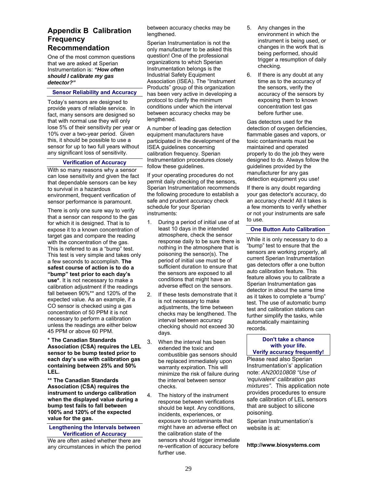#### **Appendix B Calibration Frequency Recommendation**

One of the most common questions that we are asked at Sperian Instrumentation is: *"How often should I calibrate my gas detector?"*

#### **Sensor Reliability and Accuracy**

Today's sensors are designed to provide years of reliable service. In fact, many sensors are designed so that with normal use they will only lose 5% of their sensitivity per year or 10% over a two-year period. Given this, it should be possible to use a sensor for up to two full years without any significant loss of sensitivity.

#### **Verification of Accuracy**

With so many reasons why a sensor can lose sensitivity and given the fact that dependable sensors can be key to survival in a hazardous environment, frequent verification of sensor performance is paramount.

There is only one sure way to verify that a sensor can respond to the gas for which it is designed. That is to expose it to a known concentration of target gas and compare the reading with the concentration of the gas. This is referred to as a "bump" test. This test is very simple and takes only a few seconds to accomplish. **The safest course of action is to do a "bump" test prior to each day's use\***. It is not necessary to make a calibration adjustment if the readings fall between 90%\*\* and 120% of the expected value. As an example, if a CO sensor is checked using a gas concentration of 50 PPM it is not necessary to perform a calibration unless the readings are either below 45 PPM or above 60 PPM.

**\* The Canadian Standards Association (CSA) requires the LEL sensor to be bump tested prior to each day's use with calibration gas containing between 25% and 50% LEL.** 

**\*\* The Canadian Standards Association (CSA) requires the instrument to undergo calibration when the displayed value during a bump test fails to fall between 100% and 120% of the expected value for the gas.** 

#### **Lengthening the Intervals between Verification of Accuracy**

We are often asked whether there are any circumstances in which the period between accuracy checks may be lengthened.

Sperian Instrumentation is not the only manufacturer to be asked this question! One of the professional organizations to which Sperian Instrumentation belongs is the Industrial Safety Equipment Association (ISEA). The "Instrument Products" group of this organization has been very active in developing a protocol to clarify the minimum conditions under which the interval between accuracy checks may be lengthened.

A number of leading gas detection equipment manufacturers have participated in the development of the ISEA guidelines concerning calibration frequency. Sperian Instrumentation procedures closely follow these guidelines.

If your operating procedures do not permit daily checking of the sensors, Sperian Instrumentation recommends the following procedure to establish a safe and prudent accuracy check schedule for your Sperian instruments:

- 1. During a period of initial use of at least 10 days in the intended atmosphere, check the sensor response daily to be sure there is nothing in the atmosphere that is poisoning the sensor(s). The period of initial use must be of sufficient duration to ensure that the sensors are exposed to all conditions that might have an adverse effect on the sensors.
- 2. If these tests demonstrate that it is not necessary to make adjustments, the time between checks may be lengthened. The interval between accuracy checking should not exceed 30 days.
- 3. When the interval has been extended the toxic and combustible gas sensors should be replaced immediately upon warranty expiration. This will minimize the risk of failure during the interval between sensor checks.
- 4. The history of the instrument response between verifications should be kept. Any conditions, incidents, experiences, or exposure to contaminants that might have an adverse effect on the calibration state of the sensors should trigger immediate re-verification of accuracy before further use.
- 5. Any changes in the environment in which the instrument is being used, or changes in the work that is being performed, should trigger a resumption of daily checking.
- 6. If there is any doubt at any time as to the accuracy of the sensors, verify the accuracy of the sensors by exposing them to known concentration test gas before further use.

Gas detectors used for the detection of oxygen deficiencies, flammable gases and vapors, or toxic contaminants must be maintained and operated properly to do the job they were designed to do. Always follow the guidelines provided by the manufacturer for any gas detection equipment you use!

If there is any doubt regarding your gas detector's accuracy, do an accuracy check! All it takes is a few moments to verify whether or not your instruments are safe to use.

#### **One Button Auto Calibration**

While it is only necessary to do a "bump" test to ensure that the sensors are working properly, all current Sperian Instrumentation gas detectors offer a one button auto calibration feature. This feature allows you to calibrate a Sperian Instrumentation gas detector in about the same time as it takes to complete a "bump" test. The use of automatic bump test and calibration stations can further simplify the tasks, while automatically maintaining records.

#### **Don't take a chance with your life. Verify accuracy frequently!**

Please read also Sperian Instrumentation's' application note: *AN20010808 "Use of 'equivalent' calibration gas mixtures"*. This application note provides procedures to ensure safe calibration of LEL sensors that are subject to silicone poisoning.

Sperian Instrumentation's website is at:

**http://www.biosystems.com**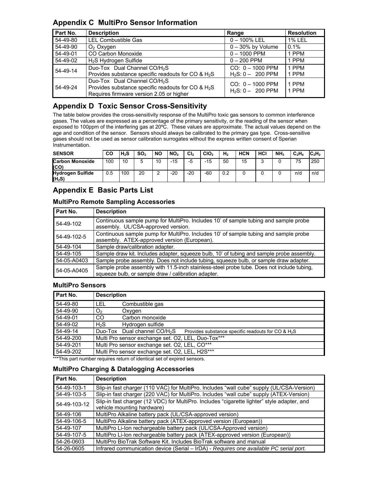### **Appendix C MultiPro Sensor Information**

| Part No. | <b>Description</b>                                                                                                                                     | Range                                     | <b>Resolution</b> |
|----------|--------------------------------------------------------------------------------------------------------------------------------------------------------|-------------------------------------------|-------------------|
| 54-49-80 | <b>LEL Combustible Gas</b>                                                                                                                             | $0 - 100\%$ LEL                           | <b>1% LEL</b>     |
| 54-49-90 | $O2$ Oxygen                                                                                                                                            | $0 - 30\%$ by Volume                      | 0.1%              |
| 54-49-01 | CO Carbon Monoxide                                                                                                                                     | $0 - 1000$ PPM                            | 1 PPM             |
| 54-49-02 | H <sub>2</sub> S Hydrogen Sulfide                                                                                                                      | $0 - 200$ PPM                             | 1 PPM             |
| 54-49-14 | Duo-Tox Dual Channel CO/H <sub>2</sub> S<br>Provides substance specific readouts for CO & H <sub>2</sub> S                                             | $CO: 0 - 1000$ PPM<br>$H_2S: 0 - 200$ PPM | 1 PPM<br>1 PPM    |
| 54-49-24 | Duo-Tox Dual Channel CO/H <sub>2</sub> S<br>Provides substance specific readouts for CO & H <sub>2</sub> S<br>Requires firmware version 2.05 or higher | $CO: 0 - 1000$ PPM<br>$H_2S: 0 - 200$ PPM | 1 PPM<br>1 PPM    |

# **Appendix D Toxic Sensor Cross-Sensitivity**

The table below provides the cross-sensitivity response of the MultiPro toxic gas sensors to common interference gases. The values are expressed as a percentage of the primary sensitivity, or the reading of the sensor when exposed to 100ppm of the interfering gas at 20ºC. These values are approximate. The actual values depend on the age and condition of the sensor. Sensors should always be calibrated to the primary gas type. Cross-sensitive gases should not be used as sensor calibration surrogates without the express written consent of Sperian Instrumentation.

| <b>SENSOR</b>                       | <b>CO</b> | $H_2S$ | SO <sub>2</sub> | <b>NO</b> | NO <sub>2</sub> | Cl <sub>2</sub> | CIO <sub>2</sub> | H <sub>2</sub> | <b>HCN</b> | HCI | NH <sub>3</sub> | $C_2H_4$ | $\text{IC}_2\text{H}_2$ |
|-------------------------------------|-----------|--------|-----------------|-----------|-----------------|-----------------|------------------|----------------|------------|-----|-----------------|----------|-------------------------|
| <b>Carbon Monoxide</b><br>(CO)      | 100       | 10     | 5               | 10        | $-15$           | -5              | $-15$            | 50             | 15         |     |                 | 75       | 250                     |
| <b>Hydrogen Sulfide</b><br>$(H_2S)$ | 0.5       | 100    | 20              |           | $-20$           | $-20$           | $-60$            | 0.2            |            |     |                 | n/d      | n/d                     |

# **Appendix E Basic Parts List**

#### **MultiPro Remote Sampling Accessories**

| Part No.    | <b>Description</b>                                                                                                                               |  |  |  |  |  |
|-------------|--------------------------------------------------------------------------------------------------------------------------------------------------|--|--|--|--|--|
| 54-49-102   | Continuous sample pump for MultiPro. Includes 10' of sample tubing and sample probe<br>assembly. UL/CSA-approved version.                        |  |  |  |  |  |
| 54-49-102-5 | Continuous sample pump for MultiPro. Includes 10' of sample tubing and sample probe<br>assembly. ATEX-approved version (European).               |  |  |  |  |  |
| 54-49-104   | Sample draw/calibration adapter.                                                                                                                 |  |  |  |  |  |
| 54-49-105   | Sample draw kit. Includes adapter, squeeze bulb, 10' of tubing and sample probe assembly.                                                        |  |  |  |  |  |
| 54-05-A0403 | Sample probe assembly. Does not include tubing, squeeze bulb, or sample draw adapter.                                                            |  |  |  |  |  |
| 54-05-A0405 | Sample probe assembly with 11.5-inch stainless-steel probe tube. Does not include tubing,<br>squeeze bulb, or sample draw / calibration adapter. |  |  |  |  |  |

#### **MultiPro Sensors**

| Part No.  | <b>Description</b>                                 |                                                                                                  |  |  |  |  |  |
|-----------|----------------------------------------------------|--------------------------------------------------------------------------------------------------|--|--|--|--|--|
| 54-49-80  | LEL                                                | Combustible gas                                                                                  |  |  |  |  |  |
| 54-49-90  | O <sub>2</sub>                                     | Oxygen                                                                                           |  |  |  |  |  |
| 54-49-01  | CO                                                 | Carbon monoxide                                                                                  |  |  |  |  |  |
| 54-49-02  | H <sub>2</sub> S                                   | Hydrogen sulfide                                                                                 |  |  |  |  |  |
| 54-49-14  |                                                    | Duo-Tox Dual channel CO/H <sub>2</sub> S<br>Provides substance specific readouts for CO & $H_2S$ |  |  |  |  |  |
| 54-49-200 | Multi Pro sensor exchange set. O2, LEL, Duo-Tox*** |                                                                                                  |  |  |  |  |  |
| 54-49-201 | Multi Pro sensor exchange set. O2, LEL, CO***      |                                                                                                  |  |  |  |  |  |
| 54-49-202 |                                                    | Multi Pro sensor exchange set. O2, LEL, H2S***                                                   |  |  |  |  |  |

\*\*\*This part number requires return of identical set of expired sensors.

#### **MultiPro Charging & Datalogging Accessories**

| Part No.     | <b>Description</b>                                                                                                        |  |  |
|--------------|---------------------------------------------------------------------------------------------------------------------------|--|--|
| 54-49-103-1  | Slip-in fast charger (110 VAC) for MultiPro. Includes "wall cube" supply (UL/CSA-Version)                                 |  |  |
| 54-49-103-5  | Slip-in fast charger (220 VAC) for MultiPro. Includes "wall cube" supply (ATEX-Version)                                   |  |  |
| 54-49-103-12 | Slip-in fast charger (12 VDC) for MultiPro. Includes "cigarette lighter" style adapter, and<br>vehicle mounting hardware) |  |  |
| 54-49-106    | MultiPro Alkaline battery pack (UL/CSA-approved version)                                                                  |  |  |
| 54-49-106-5  | MultiPro Alkaline battery pack (ATEX-approved version (European))                                                         |  |  |
| 54-49-107    | MultiPro Li-Ion rechargeable battery pack (UL/CSA-Approved version)                                                       |  |  |
| 54-49-107-5  | MultiPro Li-Ion rechargeable battery pack (ATEX-approved version (European))                                              |  |  |
| 54-26-0603   | MultiPro BioTrak Software Kit. Includes BioTrak software and manual                                                       |  |  |
| 54-26-0605   | Infrared communication device (Serial – IrDA) - Requires one available PC serial port.                                    |  |  |